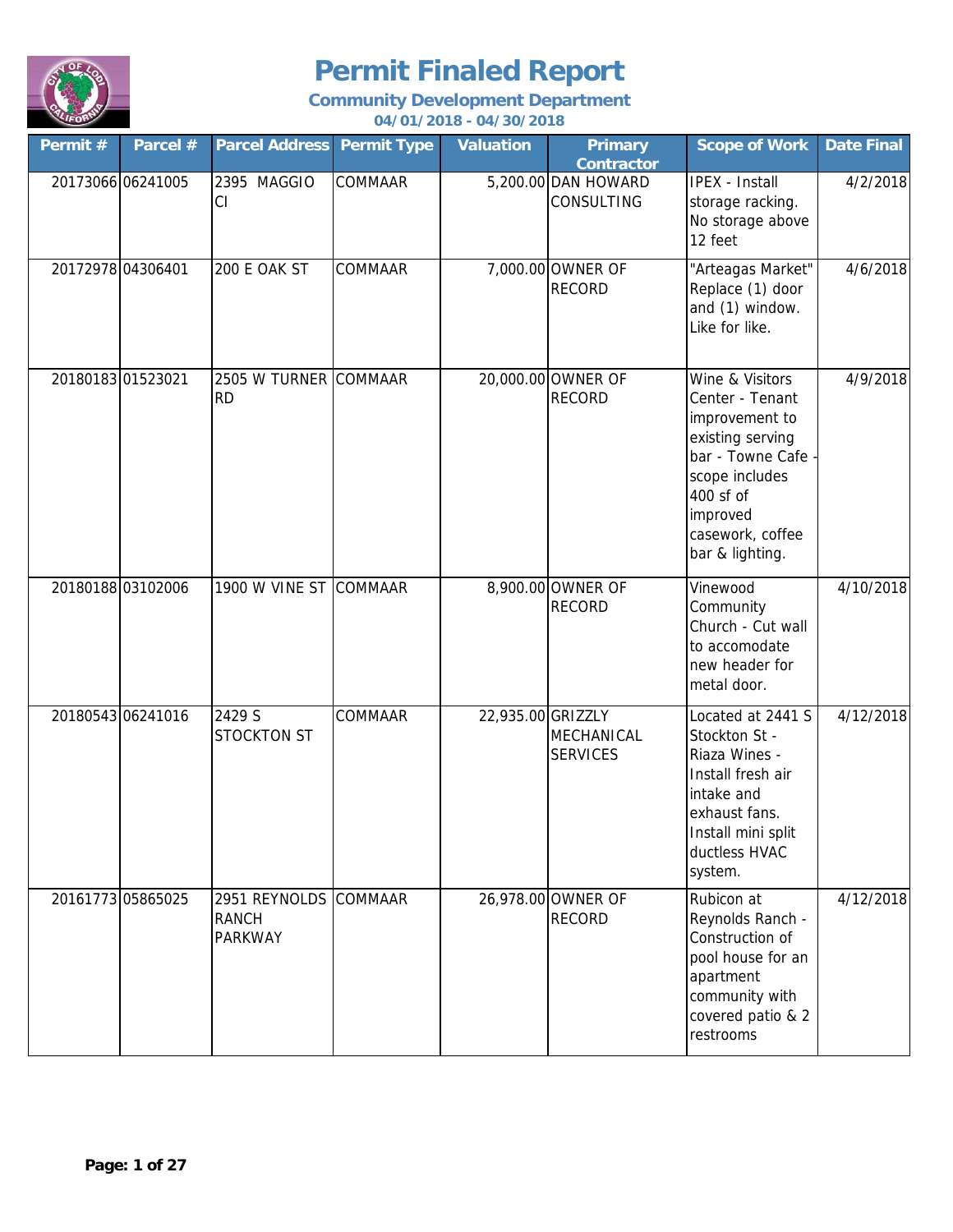

| Permit # | Parcel #          | <b>Parcel Address</b>                                   | <b>Permit Type</b> | <b>Valuation</b>  | <b>Primary</b><br><b>Contractor</b>      | <b>Scope of Work</b>                                                                                                                                                             | <b>Date Final</b> |
|----------|-------------------|---------------------------------------------------------|--------------------|-------------------|------------------------------------------|----------------------------------------------------------------------------------------------------------------------------------------------------------------------------------|-------------------|
|          | 20173066 06241005 | 2395 MAGGIO<br>CI                                       | COMMAAR            |                   | 5,200.00 DAN HOWARD<br><b>CONSULTING</b> | <b>IPEX - Install</b><br>storage racking.<br>No storage above<br>12 feet                                                                                                         | 4/2/2018          |
|          | 20172978 04306401 | 200 E OAK ST                                            | COMMAAR            |                   | 7,000.00 OWNER OF<br><b>RECORD</b>       | "Arteagas Market"<br>Replace (1) door<br>and (1) window.<br>Like for like.                                                                                                       | 4/6/2018          |
|          | 20180183 01523021 | 2505 W TURNER COMMAAR<br><b>RD</b>                      |                    |                   | 20,000.00 OWNER OF<br><b>RECORD</b>      | Wine & Visitors<br>Center - Tenant<br>improvement to<br>existing serving<br>bar - Towne Cafe -<br>scope includes<br>400 sf of<br>improved<br>casework, coffee<br>bar & lighting. | 4/9/2018          |
|          | 20180188 03102006 | 1900 W VINE ST COMMAAR                                  |                    |                   | 8,900.00 OWNER OF<br><b>RECORD</b>       | Vinewood<br>Community<br>Church - Cut wall<br>to accomodate<br>new header for<br>metal door.                                                                                     | 4/10/2018         |
|          | 20180543 06241016 | 2429 S<br><b>STOCKTON ST</b>                            | COMMAAR            | 22,935.00 GRIZZLY | MECHANICAL<br><b>SERVICES</b>            | Located at 2441 S<br>Stockton St -<br>Riaza Wines -<br>Install fresh air<br>intake and<br>exhaust fans.<br>Install mini split<br>ductless HVAC<br>system.                        | 4/12/2018         |
|          | 20161773 05865025 | 2951 REYNOLDS COMMAAR<br><b>RANCH</b><br><b>PARKWAY</b> |                    |                   | 26,978.00 OWNER OF<br><b>RECORD</b>      | Rubicon at<br>Reynolds Ranch -<br>Construction of<br>pool house for an<br>apartment<br>community with<br>covered patio & 2<br>restrooms                                          | 4/12/2018         |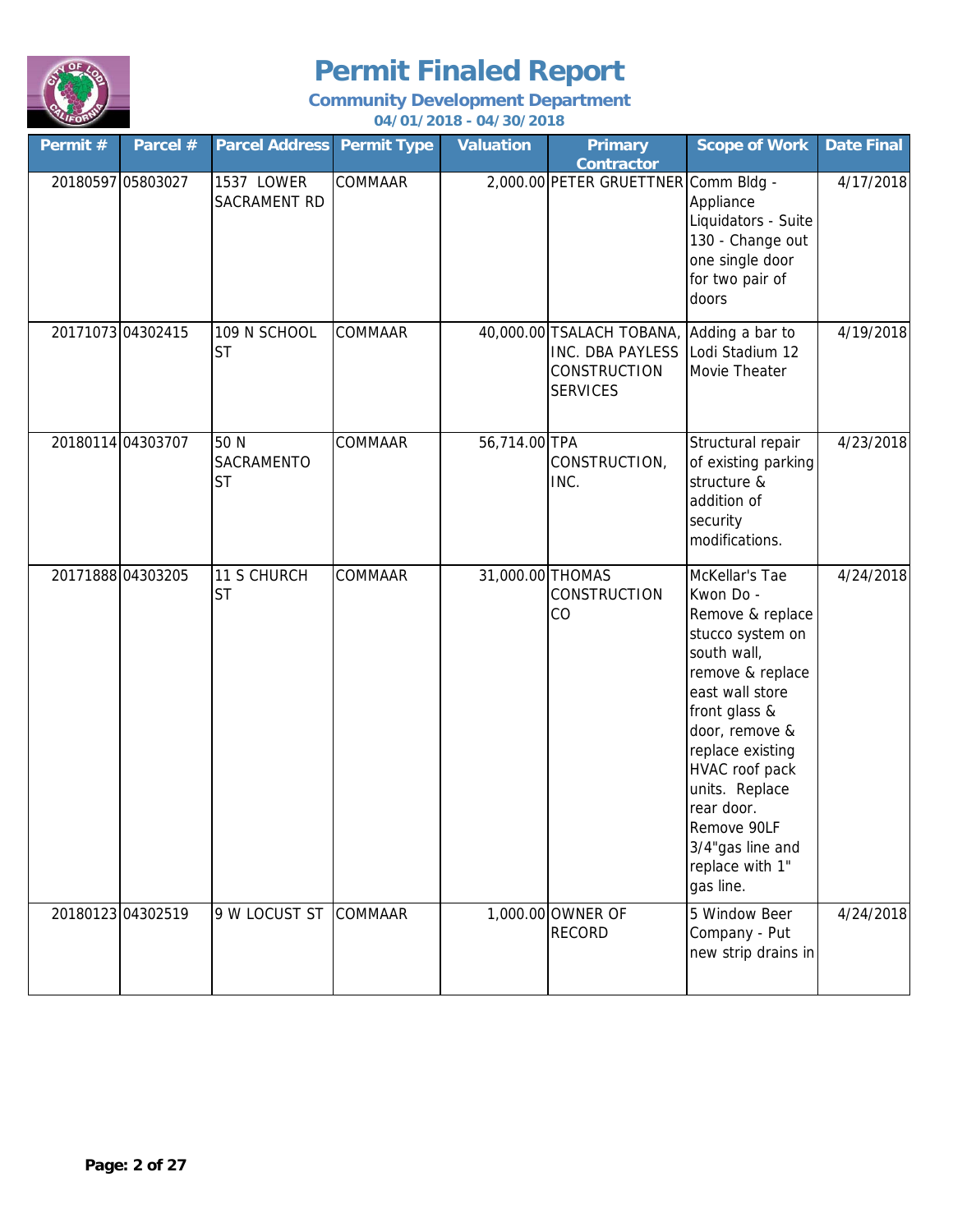

### **Community Development Department**

#### **04/01/2018 - 04/30/2018**

| Permit #          | Parcel #          | <b>Parcel Address Permit Type</b> |                | <b>Valuation</b> | <b>Primary</b><br><b>Contractor</b>                                                            | <b>Scope of Work</b>                                                                                                                                                                                                                                                                                  | <b>Date Final</b> |
|-------------------|-------------------|-----------------------------------|----------------|------------------|------------------------------------------------------------------------------------------------|-------------------------------------------------------------------------------------------------------------------------------------------------------------------------------------------------------------------------------------------------------------------------------------------------------|-------------------|
| 20180597 05803027 |                   | 1537 LOWER<br>SACRAMENT RD        | <b>COMMAAR</b> |                  | 2,000.00 PETER GRUETTNER Comm Bldg -                                                           | Appliance<br>Liquidators - Suite<br>130 - Change out<br>one single door<br>for two pair of<br>doors                                                                                                                                                                                                   | 4/17/2018         |
|                   | 20171073 04302415 | 109 N SCHOOL<br><b>ST</b>         | COMMAAR        |                  | 40,000.00 TSALACH TOBANA,<br><b>INC. DBA PAYLESS</b><br><b>CONSTRUCTION</b><br><b>SERVICES</b> | Adding a bar to<br>Lodi Stadium 12<br>Movie Theater                                                                                                                                                                                                                                                   | 4/19/2018         |
|                   | 20180114 04303707 | 50 N<br>SACRAMENTO<br><b>ST</b>   | <b>COMMAAR</b> | 56,714.00 TPA    | CONSTRUCTION,<br>INC.                                                                          | Structural repair<br>of existing parking<br>structure &<br>addition of<br>security<br>modifications.                                                                                                                                                                                                  | 4/23/2018         |
| 20171888 04303205 |                   | 11 S CHURCH<br><b>ST</b>          | COMMAAR        | 31,000.00 THOMAS | <b>CONSTRUCTION</b><br>CO                                                                      | McKellar's Tae<br>Kwon Do -<br>Remove & replace<br>stucco system on<br>south wall,<br>remove & replace<br>east wall store<br>front glass &<br>door, remove &<br>replace existing<br>HVAC roof pack<br>units. Replace<br>rear door.<br>Remove 90LF<br>3/4"gas line and<br>replace with 1"<br>gas line. | 4/24/2018         |
|                   | 20180123 04302519 | 9 W LOCUST ST                     | <b>COMMAAR</b> |                  | 1,000.00 OWNER OF<br><b>RECORD</b>                                                             | 5 Window Beer<br>Company - Put<br>new strip drains in                                                                                                                                                                                                                                                 | 4/24/2018         |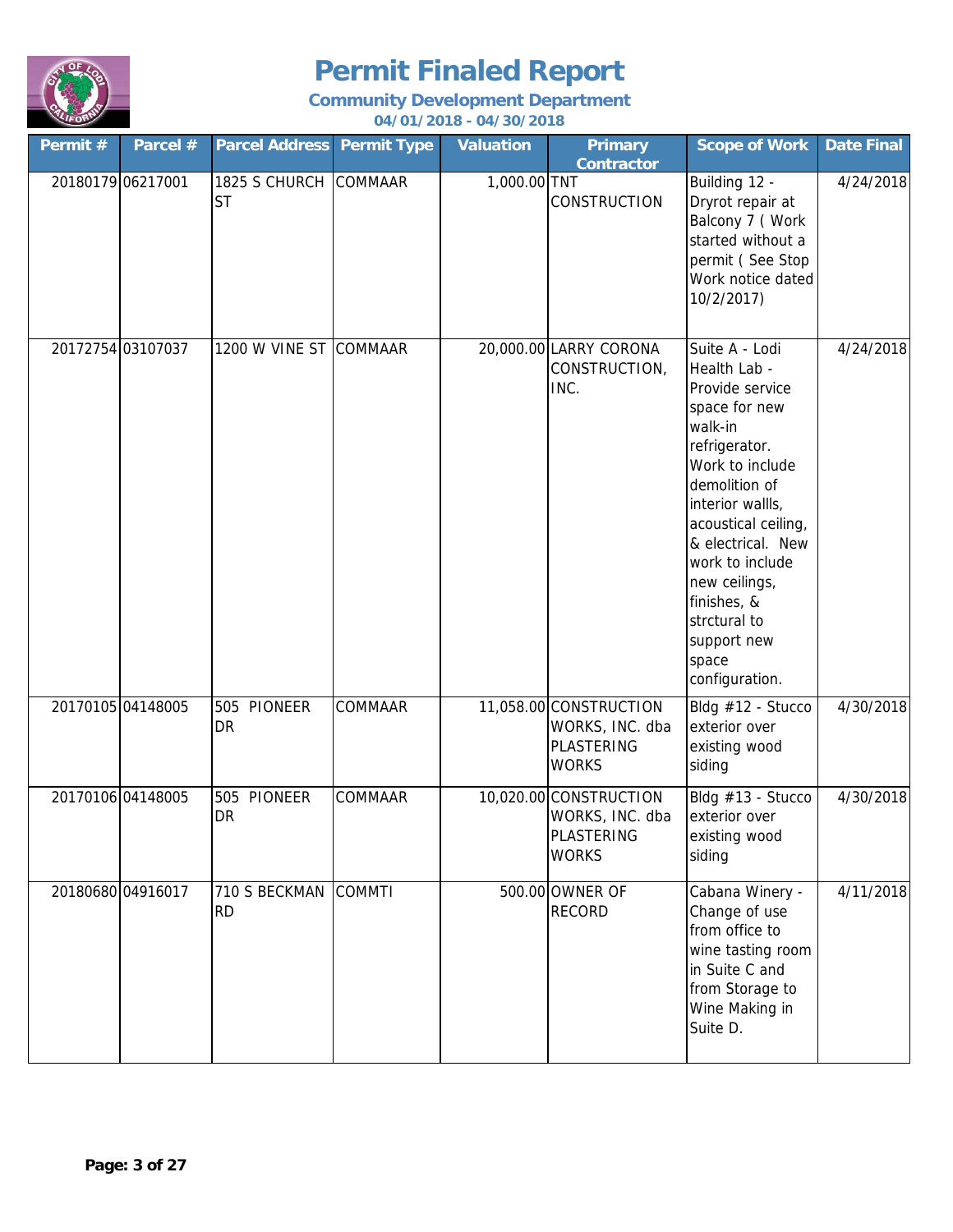

| Permit #          | Parcel # | <b>Parcel Address Permit Type</b>  |         | <b>Valuation</b> | <b>Primary</b><br><b>Contractor</b>                                            | <b>Scope of Work</b>                                                                                                                                                                                                                                                                                            | Date Final |
|-------------------|----------|------------------------------------|---------|------------------|--------------------------------------------------------------------------------|-----------------------------------------------------------------------------------------------------------------------------------------------------------------------------------------------------------------------------------------------------------------------------------------------------------------|------------|
| 20180179 06217001 |          | 1825 S CHURCH COMMAAR<br><b>ST</b> |         | 1,000.00 TNT     | CONSTRUCTION                                                                   | Building 12 -<br>Dryrot repair at<br>Balcony 7 (Work<br>started without a<br>permit (See Stop<br>Work notice dated<br>10/2/2017)                                                                                                                                                                                | 4/24/2018  |
| 20172754 03107037 |          | 1200 W VINE ST COMMAAR             |         |                  | 20,000.00 LARRY CORONA<br>CONSTRUCTION,<br>INC.                                | Suite A - Lodi<br>Health Lab -<br>Provide service<br>space for new<br>walk-in<br>refrigerator.<br>Work to include<br>demolition of<br>interior wallls,<br>acoustical ceiling,<br>& electrical. New<br>work to include<br>new ceilings,<br>finishes, &<br>strctural to<br>support new<br>space<br>configuration. | 4/24/2018  |
| 20170105 04148005 |          | 505 PIONEER<br>DR                  | COMMAAR |                  | 11,058.00 CONSTRUCTION<br>WORKS, INC. dba<br><b>PLASTERING</b><br><b>WORKS</b> | Bldg #12 - Stucco<br>exterior over<br>existing wood<br>siding                                                                                                                                                                                                                                                   | 4/30/2018  |
| 20170106 04148005 |          | 505 PIONEER<br><b>DR</b>           | COMMAAR |                  | 10,020.00 CONSTRUCTION<br>WORKS, INC. dba<br>PLASTERING<br><b>WORKS</b>        | Bldg #13 - Stucco<br>exterior over<br>existing wood<br>siding                                                                                                                                                                                                                                                   | 4/30/2018  |
| 20180680 04916017 |          | 710 S BECKMAN COMMTI<br><b>RD</b>  |         |                  | 500.00 OWNER OF<br><b>RECORD</b>                                               | Cabana Winery -<br>Change of use<br>from office to<br>wine tasting room<br>in Suite C and<br>from Storage to<br>Wine Making in<br>Suite D.                                                                                                                                                                      | 4/11/2018  |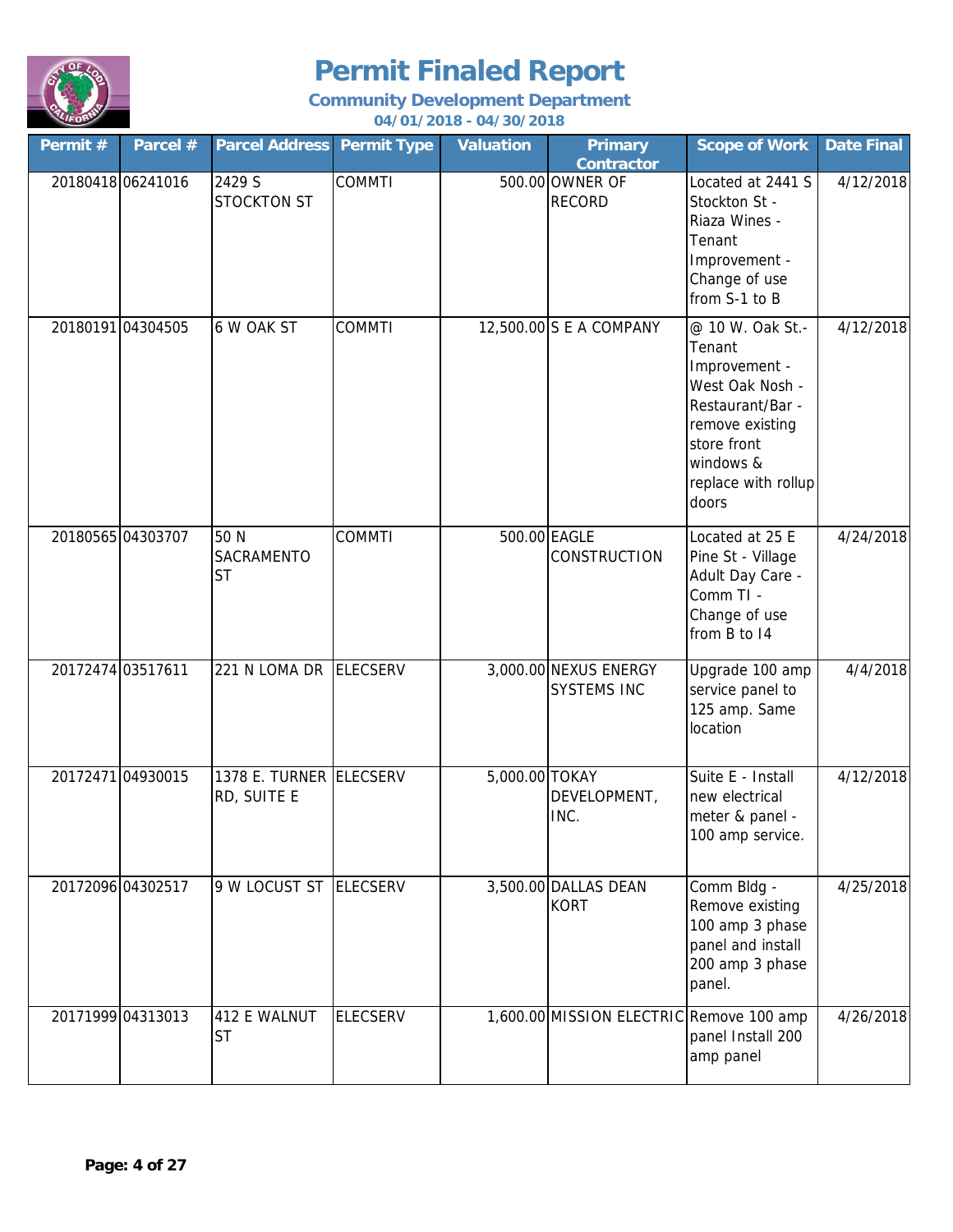

| Permit #          | Parcel # | <b>Parcel Address Permit Type</b>      |                 | <b>Valuation</b> | <b>Primary</b><br><b>Contractor</b>         | <b>Scope of Work</b>                                                                                                                                              | <b>Date Final</b> |
|-------------------|----------|----------------------------------------|-----------------|------------------|---------------------------------------------|-------------------------------------------------------------------------------------------------------------------------------------------------------------------|-------------------|
| 20180418 06241016 |          | 2429 S<br><b>STOCKTON ST</b>           | <b>COMMTI</b>   |                  | 500.00 OWNER OF<br><b>RECORD</b>            | Located at 2441 S<br>Stockton St -<br>Riaza Wines -<br>Tenant<br>Improvement -<br>Change of use<br>from S-1 to B                                                  | 4/12/2018         |
| 20180191 04304505 |          | 6 W OAK ST                             | <b>COMMTI</b>   |                  | 12,500.00 S E A COMPANY                     | @ 10 W. Oak St.-<br>Tenant<br>Improvement -<br>West Oak Nosh -<br>Restaurant/Bar -<br>remove existing<br>store front<br>windows &<br>replace with rollup<br>doors | 4/12/2018         |
| 20180565 04303707 |          | 50 N<br><b>SACRAMENTO</b><br><b>ST</b> | <b>COMMTI</b>   |                  | 500.00 EAGLE<br>CONSTRUCTION                | Located at 25 E<br>Pine St - Village<br>Adult Day Care -<br>Comm TI -<br>Change of use<br>from B to 14                                                            | 4/24/2018         |
| 20172474 03517611 |          | 221 N LOMA DR                          | <b>ELECSERV</b> |                  | 3,000.00 NEXUS ENERGY<br><b>SYSTEMS INC</b> | Upgrade 100 amp<br>service panel to<br>125 amp. Same<br>location                                                                                                  | 4/4/2018          |
| 20172471 04930015 |          | 1378 E. TURNER ELECSERV<br>RD, SUITE E |                 | 5,000.00 TOKAY   | DEVELOPMENT,<br>INC.                        | Suite E - Install<br>new electrical<br>meter & panel -<br>100 amp service.                                                                                        | 4/12/2018         |
| 20172096 04302517 |          | 9 W LOCUST ST ELECSERV                 |                 |                  | 3,500.00 DALLAS DEAN<br><b>KORT</b>         | Comm Bldg -<br>Remove existing<br>100 amp 3 phase<br>panel and install<br>200 amp 3 phase<br>panel.                                                               | 4/25/2018         |
| 20171999 04313013 |          | 412 E WALNUT<br><b>ST</b>              | <b>ELECSERV</b> |                  | 1,600.00 MISSION ELECTRIC Remove 100 amp    | panel Install 200<br>amp panel                                                                                                                                    | 4/26/2018         |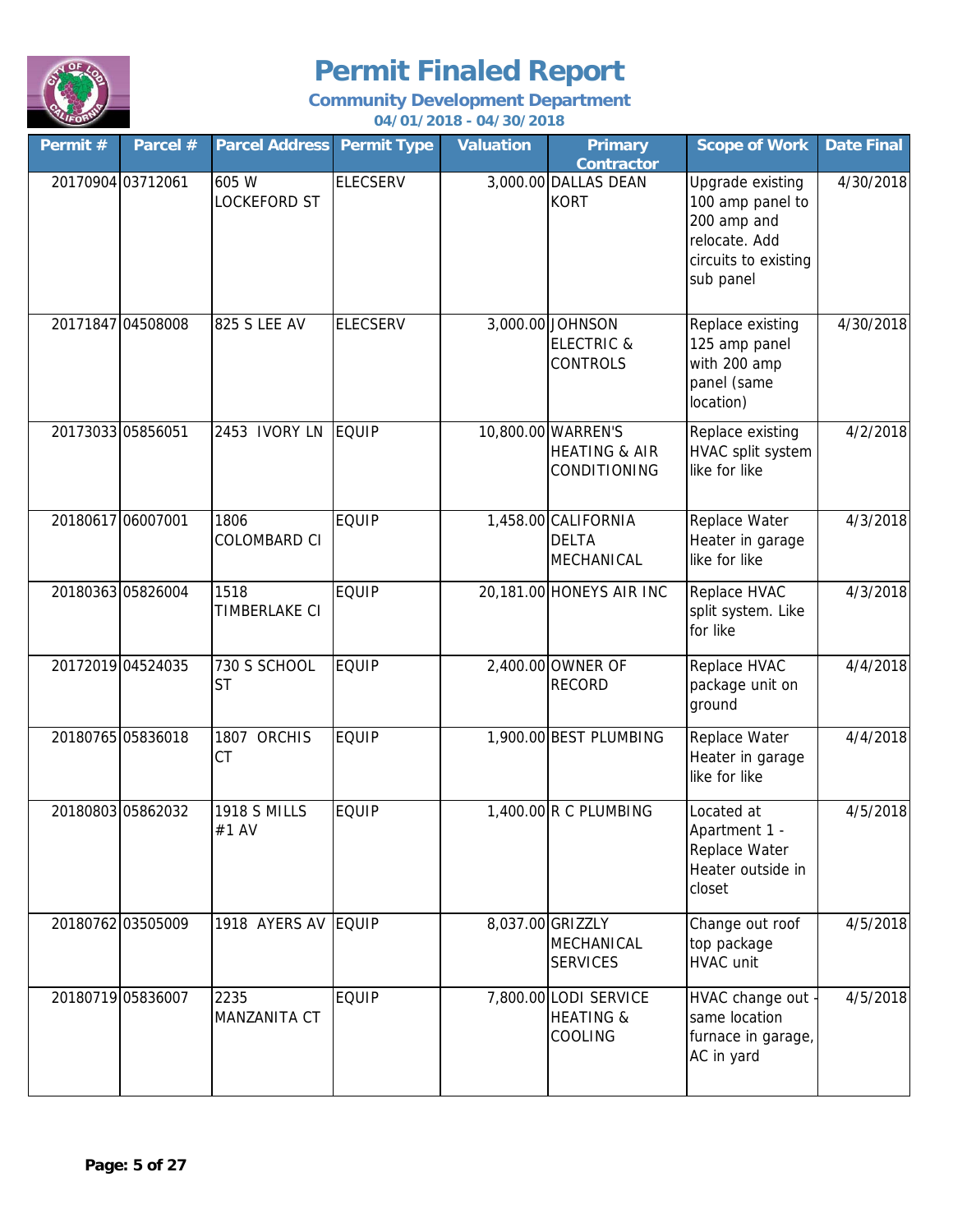

| Permit #          | Parcel #          | <b>Parcel Address</b>        | <b>Permit Type</b> | <b>Valuation</b> | <b>Primary</b><br><b>Contractor</b>                                   | <b>Scope of Work</b>                                                                                      | <b>Date Final</b> |
|-------------------|-------------------|------------------------------|--------------------|------------------|-----------------------------------------------------------------------|-----------------------------------------------------------------------------------------------------------|-------------------|
| 20170904 03712061 |                   | 605 W<br><b>LOCKEFORD ST</b> | <b>ELECSERV</b>    |                  | 3,000.00 DALLAS DEAN<br><b>KORT</b>                                   | Upgrade existing<br>100 amp panel to<br>200 amp and<br>relocate. Add<br>circuits to existing<br>sub panel | 4/30/2018         |
|                   | 20171847 04508008 | 825 S LEE AV                 | <b>ELECSERV</b>    |                  | 3,000.00 JOHNSON<br><b>ELECTRIC &amp;</b><br><b>CONTROLS</b>          | Replace existing<br>125 amp panel<br>with 200 amp<br>panel (same<br>location)                             | 4/30/2018         |
| 20173033 05856051 |                   | 2453 IVORY LN                | <b>EQUIP</b>       |                  | 10,800.00 WARREN'S<br><b>HEATING &amp; AIR</b><br><b>CONDITIONING</b> | Replace existing<br>HVAC split system<br>like for like                                                    | 4/2/2018          |
| 20180617 06007001 |                   | 1806<br><b>COLOMBARD CI</b>  | <b>EQUIP</b>       |                  | 1,458.00 CALIFORNIA<br><b>DELTA</b><br>MECHANICAL                     | Replace Water<br>Heater in garage<br>like for like                                                        | 4/3/2018          |
| 20180363 05826004 |                   | 1518<br>TIMBERLAKE CI        | <b>EQUIP</b>       |                  | 20,181.00 HONEYS AIR INC                                              | Replace HVAC<br>split system. Like<br>for like                                                            | 4/3/2018          |
| 20172019 04524035 |                   | 730 S SCHOOL<br><b>ST</b>    | <b>EQUIP</b>       |                  | 2,400.00 OWNER OF<br><b>RECORD</b>                                    | Replace HVAC<br>package unit on<br>ground                                                                 | 4/4/2018          |
|                   | 20180765 05836018 | 1807 ORCHIS<br>CT            | <b>EQUIP</b>       |                  | 1,900.00 BEST PLUMBING                                                | Replace Water<br>Heater in garage<br>like for like                                                        | 4/4/2018          |
|                   | 20180803 05862032 | <b>1918 S MILLS</b><br>#1 AV | <b>EQUIP</b>       |                  | $1,400.00$ R C PLUMBING                                               | Located at<br>Apartment 1 -<br>Replace Water<br>Heater outside in<br>closet                               | 4/5/2018          |
|                   | 20180762 03505009 | 1918 AYERS AV EQUIP          |                    |                  | 8,037.00 GRIZZLY<br><b>MECHANICAL</b><br><b>SERVICES</b>              | Change out roof<br>top package<br>HVAC unit                                                               | 4/5/2018          |
|                   | 20180719 05836007 | 2235<br>MANZANITA CT         | <b>EQUIP</b>       |                  | 7,800.00 LODI SERVICE<br><b>HEATING &amp;</b><br>COOLING              | HVAC change out -<br>same location<br>furnace in garage,<br>AC in yard                                    | 4/5/2018          |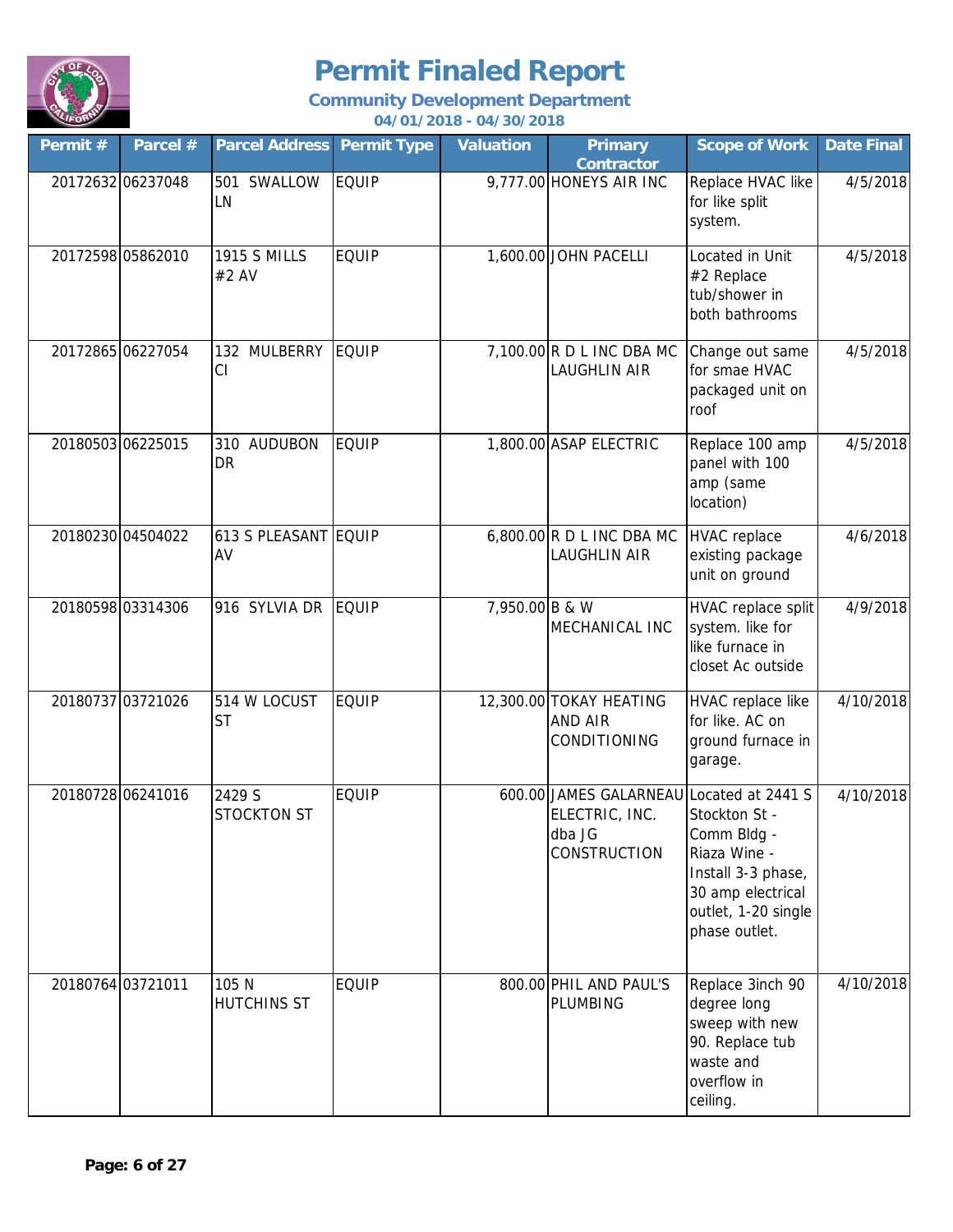

| Permit#           | Parcel #          | <b>Parcel Address Permit Type</b> |              | <b>Valuation</b> | <b>Primary</b><br><b>Contractor</b>                                | <b>Scope of Work</b>                                                                                                                                 | <b>Date Final</b> |
|-------------------|-------------------|-----------------------------------|--------------|------------------|--------------------------------------------------------------------|------------------------------------------------------------------------------------------------------------------------------------------------------|-------------------|
|                   | 20172632 06237048 | 501 SWALLOW<br>LN                 | <b>EQUIP</b> |                  | 9,777.00 HONEYS AIR INC                                            | Replace HVAC like<br>for like split<br>system.                                                                                                       | 4/5/2018          |
|                   | 20172598 05862010 | <b>1915 S MILLS</b><br>#2 AV      | <b>EQUIP</b> |                  | 1,600.00 JOHN PACELLI                                              | Located in Unit<br>#2 Replace<br>tub/shower in<br>both bathrooms                                                                                     | 4/5/2018          |
| 20172865 06227054 |                   | 132 MULBERRY<br>CI                | <b>EQUIP</b> |                  | 7,100.00 R D L INC DBA MC<br><b>LAUGHLIN AIR</b>                   | Change out same<br>for smae HVAC<br>packaged unit on<br>roof                                                                                         | 4/5/2018          |
| 20180503 06225015 |                   | 310 AUDUBON<br>DR                 | <b>EQUIP</b> |                  | 1,800.00 ASAP ELECTRIC                                             | Replace 100 amp<br>panel with 100<br>amp (same<br>location)                                                                                          | 4/5/2018          |
|                   | 20180230 04504022 | 613 S PLEASANT EQUIP<br>AV        |              |                  | $6,800.00$ R D L INC DBA MC<br><b>LAUGHLIN AIR</b>                 | <b>HVAC</b> replace<br>existing package<br>unit on ground                                                                                            | 4/6/2018          |
|                   | 20180598 03314306 | 916 SYLVIA DR                     | <b>EQUIP</b> | 7,950.00 B & W   | MECHANICAL INC                                                     | HVAC replace split<br>system. like for<br>like furnace in<br>closet Ac outside                                                                       | 4/9/2018          |
| 20180737 03721026 |                   | 514 W LOCUST<br><b>ST</b>         | <b>EQUIP</b> |                  | 12,300.00 TOKAY HEATING<br><b>AND AIR</b><br><b>CONDITIONING</b>   | HVAC replace like<br>for like. AC on<br>ground furnace in<br>garage.                                                                                 | 4/10/2018         |
|                   | 20180728 06241016 | 2429 S<br><b>STOCKTON ST</b>      | <b>EQUIP</b> |                  | 600.00 JAMES GALARNEAU<br>ELECTRIC, INC.<br>dba JG<br>CONSTRUCTION | Located at 2441 S<br>Stockton St -<br>Comm Bldg -<br>Riaza Wine -<br>Install 3-3 phase,<br>30 amp electrical<br>outlet, 1-20 single<br>phase outlet. | 4/10/2018         |
| 20180764 03721011 |                   | 105 N<br><b>HUTCHINS ST</b>       | <b>EQUIP</b> |                  | 800.00 PHIL AND PAUL'S<br>PLUMBING                                 | Replace 3inch 90<br>degree long<br>sweep with new<br>90. Replace tub<br>waste and<br>overflow in<br>ceiling.                                         | 4/10/2018         |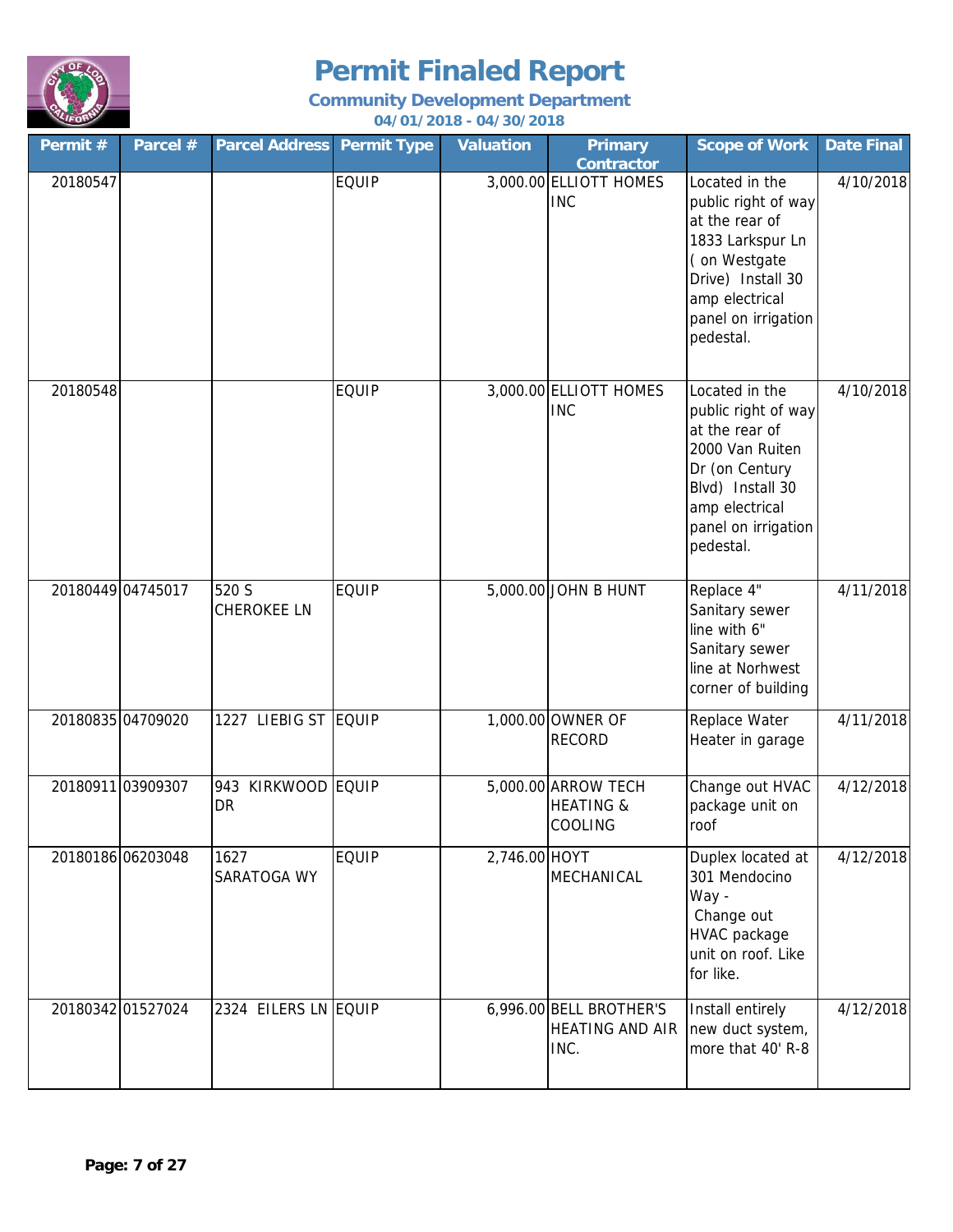

| Permit #          | Parcel #          | <b>Parcel Address Permit Type</b>  |              | <b>Valuation</b> | <b>Primary</b><br><b>Contractor</b>                       | <b>Scope of Work</b>                                                                                                                                                   | Date Final |
|-------------------|-------------------|------------------------------------|--------------|------------------|-----------------------------------------------------------|------------------------------------------------------------------------------------------------------------------------------------------------------------------------|------------|
| 20180547          |                   |                                    | <b>EQUIP</b> |                  | 3,000.00 ELLIOTT HOMES<br><b>INC</b>                      | Located in the<br>public right of way<br>at the rear of<br>1833 Larkspur Ln<br>(on Westgate<br>Drive) Install 30<br>amp electrical<br>panel on irrigation<br>pedestal. | 4/10/2018  |
| 20180548          |                   |                                    | <b>EQUIP</b> |                  | 3,000.00 ELLIOTT HOMES<br><b>INC</b>                      | Located in the<br>public right of way<br>at the rear of<br>2000 Van Ruiten<br>Dr (on Century<br>Blvd) Install 30<br>amp electrical<br>panel on irrigation<br>pedestal. | 4/10/2018  |
|                   | 20180449 04745017 | 520 S<br><b>CHEROKEE LN</b>        | <b>EQUIP</b> |                  | 5,000.00 JOHN B HUNT                                      | Replace 4"<br>Sanitary sewer<br>line with 6"<br>Sanitary sewer<br>line at Norhwest<br>corner of building                                                               | 4/11/2018  |
|                   | 20180835 04709020 | 1227 LIEBIG ST EQUIP               |              |                  | 1,000.00 OWNER OF<br><b>RECORD</b>                        | Replace Water<br>Heater in garage                                                                                                                                      | 4/11/2018  |
| 20180911 03909307 |                   | KIRKWOOD EQUIP<br>943<br><b>DR</b> |              |                  | 5,000.00 ARROW TECH<br><b>HEATING &amp;</b><br>COOLING    | Change out HVAC<br>package unit on<br>roof                                                                                                                             | 4/12/2018  |
|                   | 20180186 06203048 | 1627<br>SARATOGA WY                | <b>EQUIP</b> | 2,746.00 HOYT    | MECHANICAL                                                | Duplex located at<br>301 Mendocino<br>Way -<br>Change out<br>HVAC package<br>unit on roof. Like<br>for like.                                                           | 4/12/2018  |
|                   | 20180342 01527024 | 2324 EILERS LN EQUIP               |              |                  | 6,996.00 BELL BROTHER'S<br><b>HEATING AND AIR</b><br>INC. | Install entirely<br>new duct system,<br>more that 40' R-8                                                                                                              | 4/12/2018  |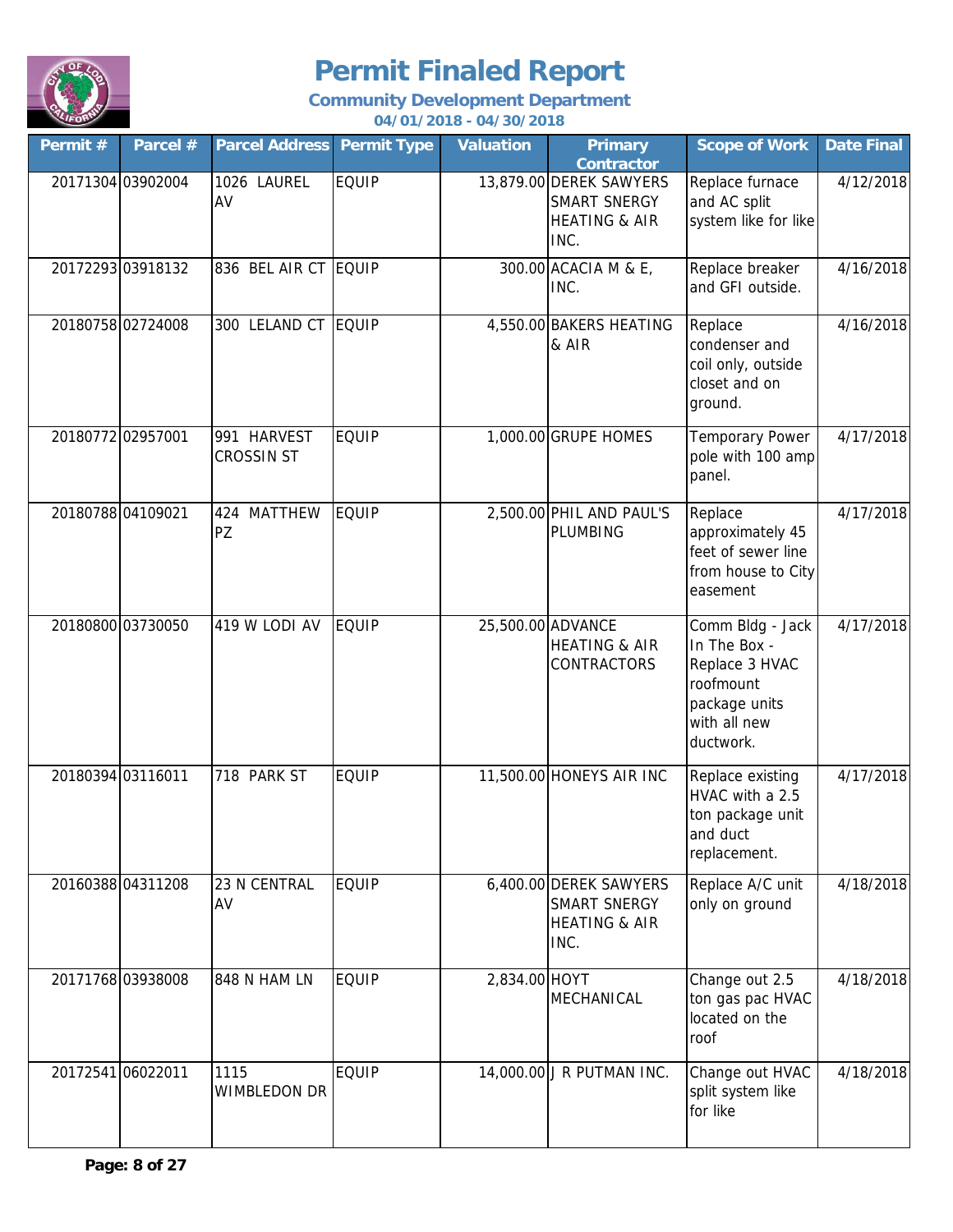

| Permit #          | Parcel #          | <b>Parcel Address</b>            | <b>Permit Type</b> | <b>Valuation</b> | <b>Primary</b><br><b>Contractor</b>                                                | <b>Scope of Work</b>                                                                                          | <b>Date Final</b> |
|-------------------|-------------------|----------------------------------|--------------------|------------------|------------------------------------------------------------------------------------|---------------------------------------------------------------------------------------------------------------|-------------------|
|                   | 20171304 03902004 | 1026 LAUREL<br>AV                | <b>EQUIP</b>       |                  | 13,879.00 DEREK SAWYERS<br><b>SMART SNERGY</b><br><b>HEATING &amp; AIR</b><br>INC. | Replace furnace<br>and AC split<br>system like for like                                                       | 4/12/2018         |
|                   | 20172293 03918132 | 836 BEL AIR CT EQUIP             |                    |                  | 300.00 ACACIA M & E,<br>INC.                                                       | Replace breaker<br>and GFI outside.                                                                           | 4/16/2018         |
|                   | 20180758 02724008 | 300 LELAND CT EQUIP              |                    |                  | 4,550.00 BAKERS HEATING<br>& AIR                                                   | Replace<br>condenser and<br>coil only, outside<br>closet and on<br>ground.                                    | 4/16/2018         |
| 20180772 02957001 |                   | 991 HARVEST<br><b>CROSSIN ST</b> | <b>EQUIP</b>       |                  | 1,000.00 GRUPE HOMES                                                               | <b>Temporary Power</b><br>pole with 100 amp<br>panel.                                                         | 4/17/2018         |
|                   | 20180788 04109021 | 424<br><b>MATTHEW</b><br>PZ      | <b>EQUIP</b>       |                  | 2,500.00 PHIL AND PAUL'S<br>PLUMBING                                               | Replace<br>approximately 45<br>feet of sewer line<br>from house to City<br>easement                           | 4/17/2018         |
|                   | 20180800 03730050 | 419 W LODI AV                    | <b>EQUIP</b>       |                  | 25,500.00 ADVANCE<br><b>HEATING &amp; AIR</b><br><b>CONTRACTORS</b>                | Comm Bldg - Jack<br>In The Box -<br>Replace 3 HVAC<br>roofmount<br>package units<br>with all new<br>ductwork. | 4/17/2018         |
| 20180394 03116011 |                   | 718 PARK ST                      | <b>EQUIP</b>       |                  | 11,500.00 HONEYS AIR INC                                                           | Replace existing<br>HVAC with a 2.5<br>ton package unit<br>and duct<br>replacement.                           | 4/17/2018         |
|                   | 2016038804311208  | 23 N CENTRAL<br>AV               | <b>EQUIP</b>       |                  | 6,400.00 DEREK SAWYERS<br><b>SMART SNERGY</b><br><b>HEATING &amp; AIR</b><br>INC.  | Replace A/C unit<br>only on ground                                                                            | 4/18/2018         |
|                   | 20171768 03938008 | 848 N HAM LN                     | <b>EQUIP</b>       | 2,834.00 HOYT    | MECHANICAL                                                                         | Change out 2.5<br>ton gas pac HVAC<br>located on the<br>roof                                                  | 4/18/2018         |
|                   | 20172541 06022011 | 1115<br>WIMBLEDON DR             | <b>EQUIP</b>       |                  | 14,000.00 J R PUTMAN INC.                                                          | Change out HVAC<br>split system like<br>for like                                                              | 4/18/2018         |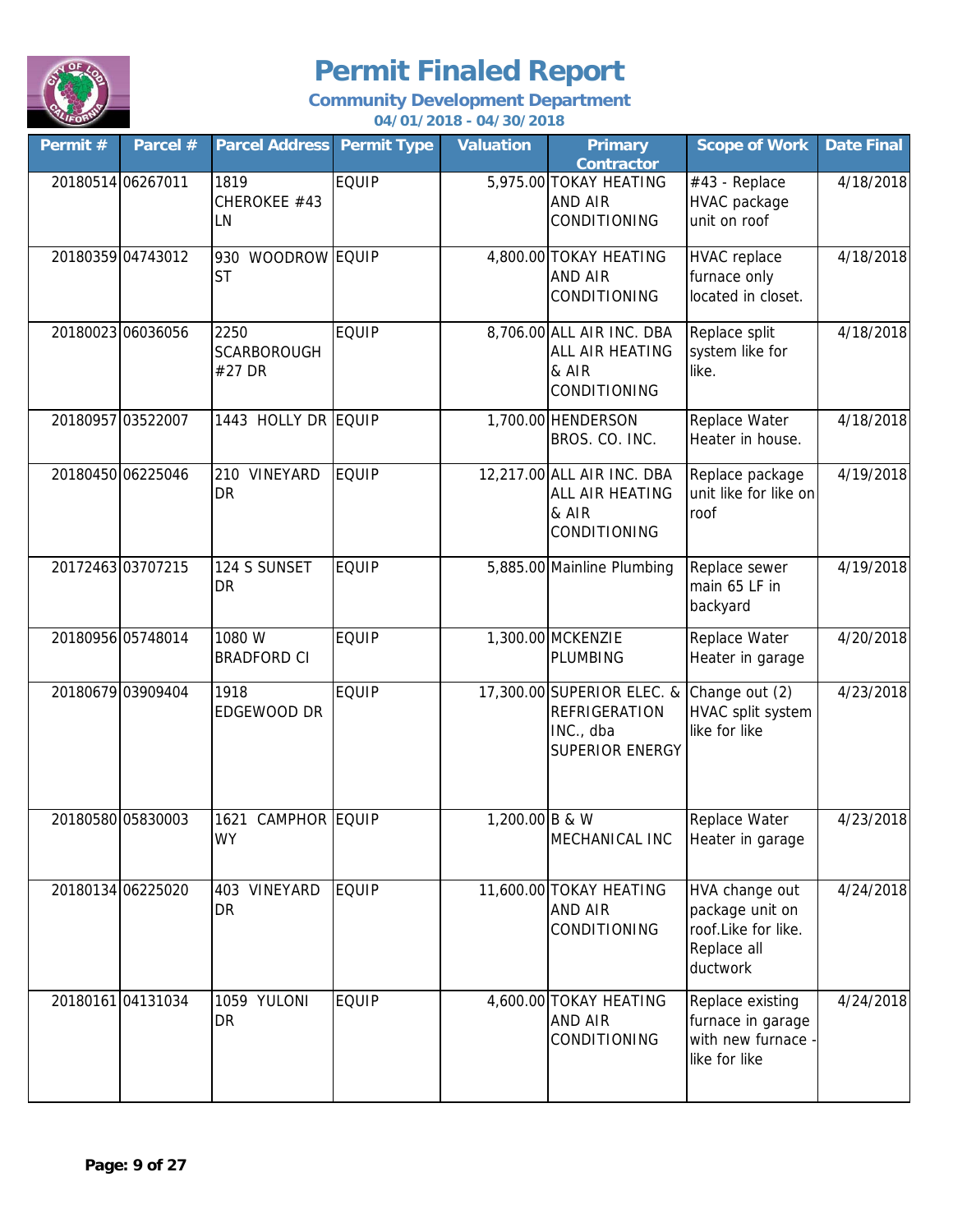

| Permit #          | Parcel #          | <b>Parcel Address Permit Type</b>    |              | <b>Valuation</b> | <b>Primary</b><br><b>Contractor</b>                                                | <b>Scope of Work</b>                                                                | <b>Date Final</b> |
|-------------------|-------------------|--------------------------------------|--------------|------------------|------------------------------------------------------------------------------------|-------------------------------------------------------------------------------------|-------------------|
| 20180514 06267011 |                   | 1819<br>CHEROKEE #43<br>LN           | <b>EQUIP</b> |                  | 5,975.00 TOKAY HEATING<br>AND AIR<br>CONDITIONING                                  | #43 - Replace<br>HVAC package<br>unit on roof                                       | 4/18/2018         |
|                   | 20180359 04743012 | 930 WOODROW EQUIP<br><b>ST</b>       |              |                  | 4,800.00 TOKAY HEATING<br>AND AIR<br>CONDITIONING                                  | <b>HVAC</b> replace<br>furnace only<br>located in closet.                           | 4/18/2018         |
|                   | 20180023 06036056 | 2250<br><b>SCARBOROUGH</b><br>#27 DR | <b>EQUIP</b> |                  | 8,706.00 ALL AIR INC. DBA<br>ALL AIR HEATING<br>& AIR<br>CONDITIONING              | Replace split<br>system like for<br>like.                                           | 4/18/2018         |
|                   | 20180957 03522007 | 1443 HOLLY DR EQUIP                  |              |                  | 1,700.00 HENDERSON<br>BROS. CO. INC.                                               | Replace Water<br>Heater in house.                                                   | 4/18/2018         |
|                   | 20180450 06225046 | 210 VINEYARD<br><b>DR</b>            | <b>EQUIP</b> |                  | 12,217.00 ALL AIR INC. DBA<br>ALL AIR HEATING<br>& AIR<br>CONDITIONING             | Replace package<br>unit like for like on<br>roof                                    | 4/19/2018         |
|                   | 20172463 03707215 | 124 S SUNSET<br>DR                   | <b>EQUIP</b> |                  | 5,885.00 Mainline Plumbing                                                         | Replace sewer<br>main 65 LF in<br>backyard                                          | 4/19/2018         |
|                   | 20180956 05748014 | 1080 W<br><b>BRADFORD CI</b>         | <b>EQUIP</b> |                  | 1,300.00 MCKENZIE<br><b>PLUMBING</b>                                               | Replace Water<br>Heater in garage                                                   | 4/20/2018         |
|                   | 20180679 03909404 | 1918<br>EDGEWOOD DR                  | <b>EQUIP</b> |                  | 17,300.00 SUPERIOR ELEC. &<br><b>REFRIGERATION</b><br>INC., dba<br>SUPERIOR ENERGY | Change out (2)<br>HVAC split system<br>like for like                                | 4/23/2018         |
|                   | 20180580 05830003 | 1621 CAMPHOR EQUIP<br><b>WY</b>      |              | 1,200.00 B & W   | MECHANICAL INC                                                                     | Replace Water<br>Heater in garage                                                   | 4/23/2018         |
|                   | 20180134 06225020 | 403 VINEYARD<br><b>DR</b>            | <b>EQUIP</b> |                  | 11,600.00 TOKAY HEATING<br>AND AIR<br>CONDITIONING                                 | HVA change out<br>package unit on<br>roof.Like for like.<br>Replace all<br>ductwork | 4/24/2018         |
|                   | 20180161 04131034 | 1059 YULONI<br><b>DR</b>             | <b>EQUIP</b> |                  | 4,600.00 TOKAY HEATING<br><b>AND AIR</b><br>CONDITIONING                           | Replace existing<br>furnace in garage<br>with new furnace<br>like for like          | 4/24/2018         |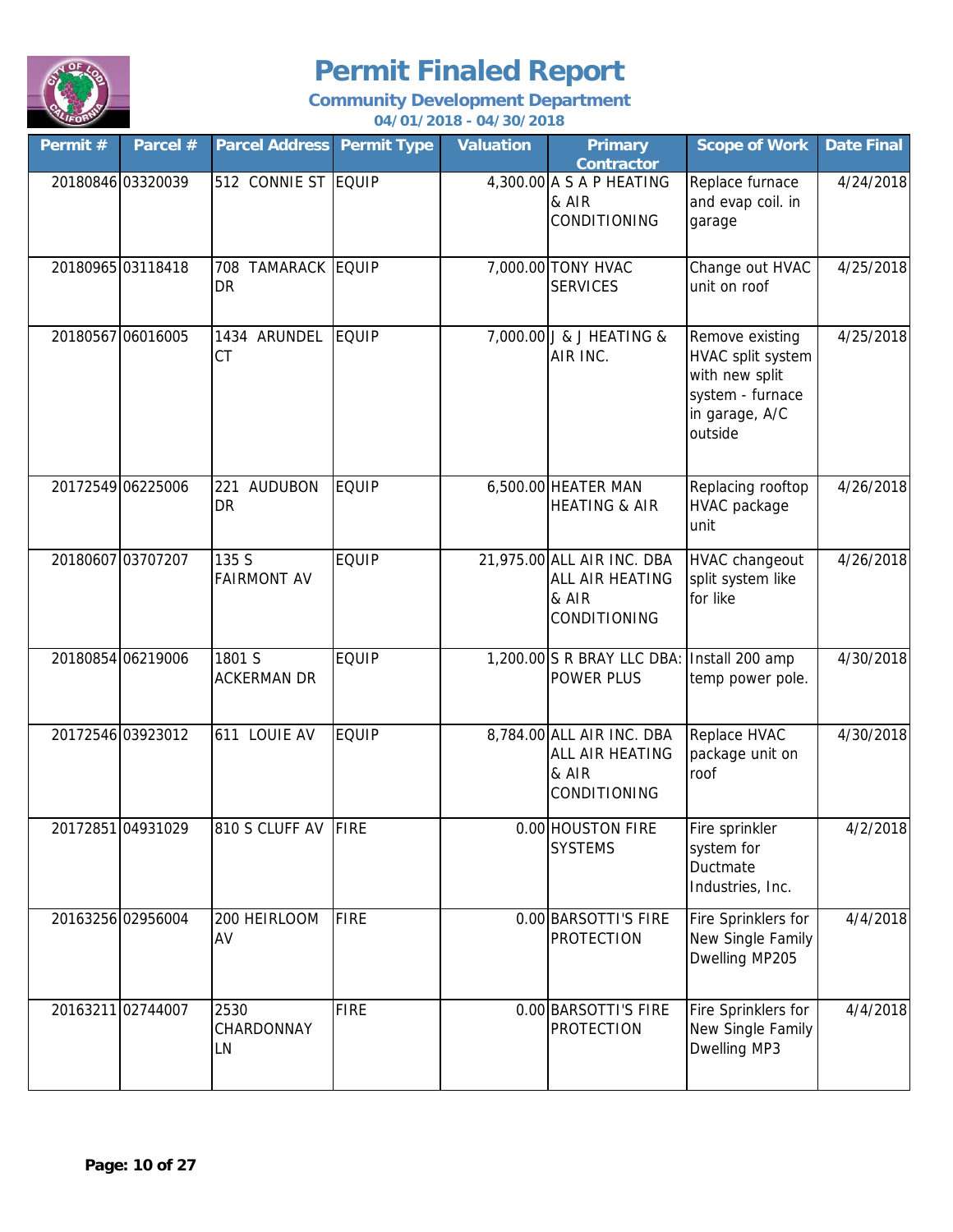

| Permit #          | Parcel #          | <b>Parcel Address Permit Type</b>  |              | <b>Valuation</b> | <b>Primary</b><br><b>Contractor</b>                                    | <b>Scope of Work</b>                                                                                    | <b>Date Final</b> |
|-------------------|-------------------|------------------------------------|--------------|------------------|------------------------------------------------------------------------|---------------------------------------------------------------------------------------------------------|-------------------|
| 20180846 03320039 |                   | 512 CONNIE ST EQUIP                |              |                  | 4,300.00 A S A P HEATING<br>& AIR<br>CONDITIONING                      | Replace furnace<br>and evap coil. in<br>garage                                                          | 4/24/2018         |
| 20180965 03118418 |                   | 708 TAMARACK EQUIP<br><b>DR</b>    |              |                  | 7,000.00 TONY HVAC<br><b>SERVICES</b>                                  | Change out HVAC<br>unit on roof                                                                         | 4/25/2018         |
| 20180567 06016005 |                   | 1434 ARUNDEL<br><b>CT</b>          | EQUIP        |                  | 7,000.00 J & J HEATING &<br>AIR INC.                                   | Remove existing<br>HVAC split system<br>with new split<br>system - furnace<br>in garage, A/C<br>outside | 4/25/2018         |
| 20172549 06225006 |                   | 221<br><b>AUDUBON</b><br><b>DR</b> | <b>EQUIP</b> |                  | 6,500.00 HEATER MAN<br><b>HEATING &amp; AIR</b>                        | Replacing rooftop<br>HVAC package<br>unit                                                               | 4/26/2018         |
| 20180607 03707207 |                   | 135 S<br><b>FAIRMONT AV</b>        | <b>EQUIP</b> |                  | 21,975.00 ALL AIR INC. DBA<br>ALL AIR HEATING<br>& AIR<br>CONDITIONING | <b>HVAC changeout</b><br>split system like<br>for like                                                  | 4/26/2018         |
| 20180854 06219006 |                   | 1801 S<br><b>ACKERMAN DR</b>       | <b>EQUIP</b> |                  | 1,200.00 S R BRAY LLC DBA: Install 200 amp<br>POWER PLUS               | temp power pole.                                                                                        | 4/30/2018         |
|                   | 20172546 03923012 | 611 LOUIE AV                       | <b>EQUIP</b> |                  | 8,784.00 ALL AIR INC. DBA<br>ALL AIR HEATING<br>& AIR<br>CONDITIONING  | Replace HVAC<br>package unit on<br>roof                                                                 | 4/30/2018         |
|                   | 20172851 04931029 | 810 S CLUFF AV FIRE                |              |                  | 0.00 HOUSTON FIRE<br><b>SYSTEMS</b>                                    | Fire sprinkler<br>system for<br>Ductmate<br>Industries, Inc.                                            | 4/2/2018          |
| 20163256 02956004 |                   | 200 HEIRLOOM<br>AV                 | <b>FIRE</b>  |                  | 0.00 BARSOTTI'S FIRE<br><b>PROTECTION</b>                              | Fire Sprinklers for<br>New Single Family<br>Dwelling MP205                                              | 4/4/2018          |
| 20163211 02744007 |                   | 2530<br>CHARDONNAY<br>LN           | <b>FIRE</b>  |                  | 0.00 BARSOTTI'S FIRE<br><b>PROTECTION</b>                              | Fire Sprinklers for<br>New Single Family<br>Dwelling MP3                                                | 4/4/2018          |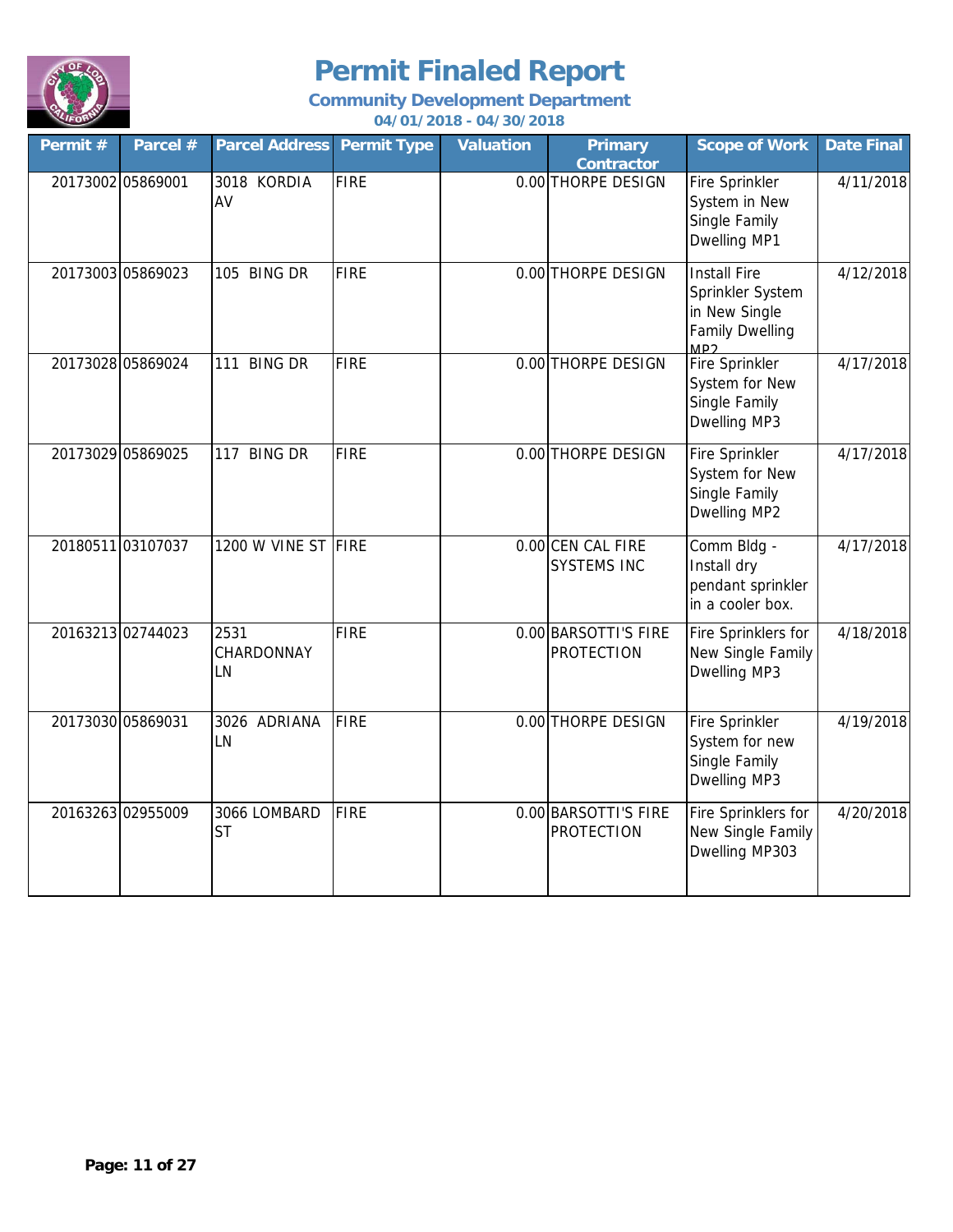

| Permit # | Parcel #          | <b>Parcel Address</b>     | <b>Permit Type</b> | <b>Valuation</b> | <b>Primary</b><br><b>Contractor</b>       | <b>Scope of Work</b>                                                                      | <b>Date Final</b> |
|----------|-------------------|---------------------------|--------------------|------------------|-------------------------------------------|-------------------------------------------------------------------------------------------|-------------------|
|          | 20173002 05869001 | 3018 KORDIA<br>AV         | <b>FIRE</b>        |                  | 0.00 THORPE DESIGN                        | Fire Sprinkler<br>System in New<br>Single Family<br>Dwelling MP1                          | 4/11/2018         |
|          | 20173003 05869023 | 105 BING DR               | <b>FIRE</b>        |                  | 0.00 THORPE DESIGN                        | <b>Install Fire</b><br>Sprinkler System<br>in New Single<br><b>Family Dwelling</b><br>MD2 | 4/12/2018         |
|          | 20173028 05869024 | 111 BING DR               | <b>FIRE</b>        |                  | 0.00 THORPE DESIGN                        | <b>Fire Sprinkler</b><br>System for New<br>Single Family<br>Dwelling MP3                  | 4/17/2018         |
|          | 20173029 05869025 | 117 BING DR               | <b>FIRE</b>        |                  | 0.00 THORPE DESIGN                        | Fire Sprinkler<br>System for New<br>Single Family<br>Dwelling MP2                         | 4/17/2018         |
|          | 20180511 03107037 | 1200 W VINE ST FIRE       |                    |                  | 0.00 CEN CAL FIRE<br><b>SYSTEMS INC</b>   | Comm Bldg -<br>Install dry<br>pendant sprinkler<br>in a cooler box.                       | 4/17/2018         |
|          | 20163213 02744023 | 2531<br>CHARDONNAY<br>LN  | <b>FIRE</b>        |                  | 0.00 BARSOTTI'S FIRE<br><b>PROTECTION</b> | Fire Sprinklers for<br>New Single Family<br>Dwelling MP3                                  | 4/18/2018         |
|          | 20173030 05869031 | 3026 ADRIANA<br>LN        | <b>FIRE</b>        |                  | 0.00 THORPE DESIGN                        | Fire Sprinkler<br>System for new<br>Single Family<br>Dwelling MP3                         | 4/19/2018         |
|          | 20163263 02955009 | 3066 LOMBARD<br><b>ST</b> | <b>FIRE</b>        |                  | 0.00 BARSOTTI'S FIRE<br><b>PROTECTION</b> | Fire Sprinklers for<br>New Single Family<br>Dwelling MP303                                | 4/20/2018         |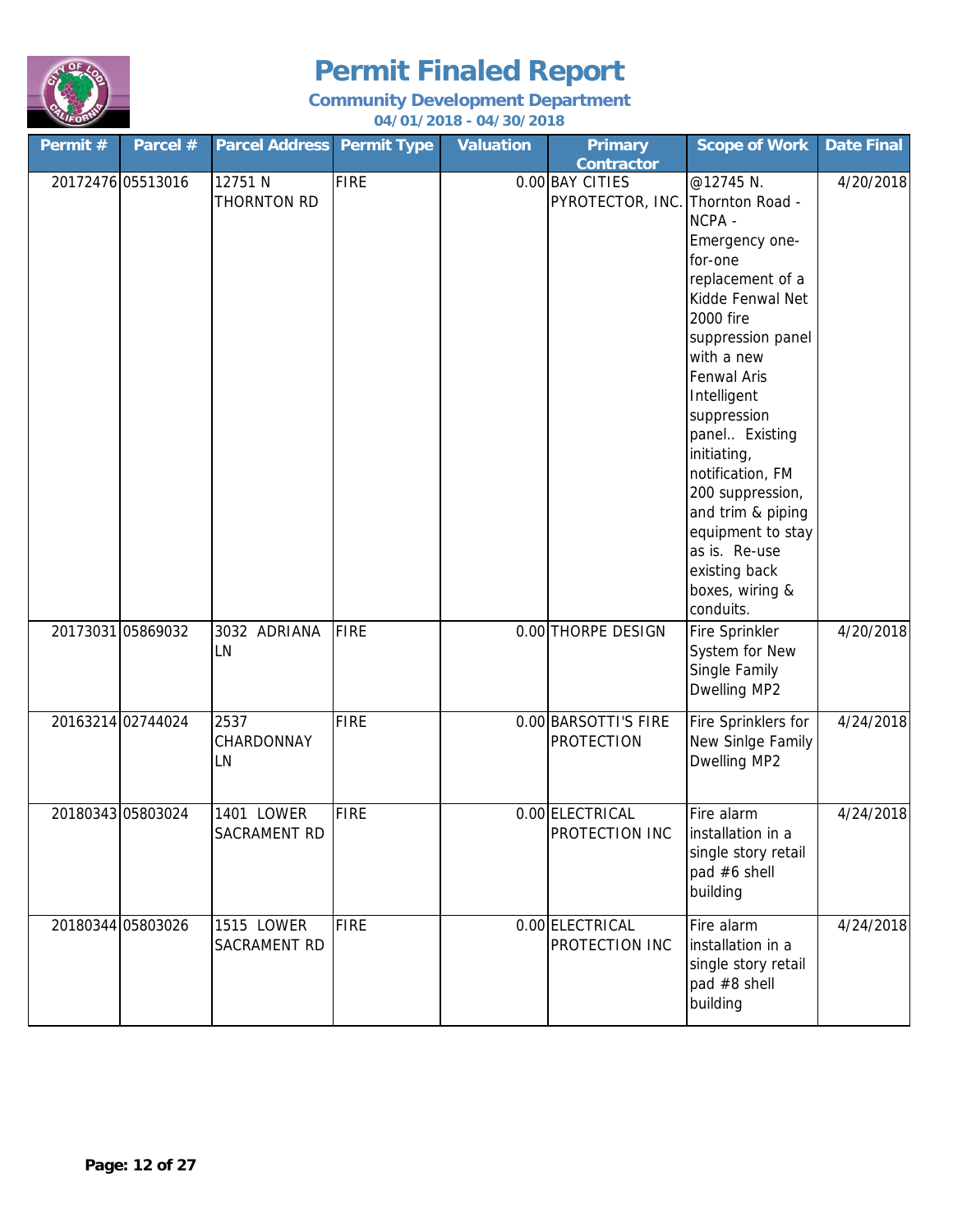

| Permit # | Parcel #          | <b>Parcel Address Permit Type</b> |             | <b>Valuation</b> | <b>Primary</b><br><b>Contractor</b>       | <b>Scope of Work</b>                                                                                                                                                                                                                                                                                                                                                                                 | <b>Date Final</b> |
|----------|-------------------|-----------------------------------|-------------|------------------|-------------------------------------------|------------------------------------------------------------------------------------------------------------------------------------------------------------------------------------------------------------------------------------------------------------------------------------------------------------------------------------------------------------------------------------------------------|-------------------|
|          | 20172476 05513016 | 12751 N<br>THORNTON RD            | <b>FIRE</b> |                  | 0.00 BAY CITIES<br>PYROTECTOR, INC.       | @12745 N.<br>Thornton Road -<br>NCPA -<br>Emergency one-<br>for-one<br>replacement of a<br>Kidde Fenwal Net<br>2000 fire<br>suppression panel<br>with a new<br><b>Fenwal Aris</b><br>Intelligent<br>suppression<br>panel Existing<br>initiating,<br>notification, FM<br>200 suppression,<br>and trim & piping<br>equipment to stay<br>as is. Re-use<br>existing back<br>boxes, wiring &<br>conduits. | 4/20/2018         |
|          | 20173031 05869032 | 3032 ADRIANA<br>LN                | <b>FIRE</b> |                  | 0.00 THORPE DESIGN                        | Fire Sprinkler<br>System for New<br>Single Family<br>Dwelling MP2                                                                                                                                                                                                                                                                                                                                    | 4/20/2018         |
|          | 20163214 02744024 | 2537<br>CHARDONNAY<br>LN          | <b>FIRE</b> |                  | 0.00 BARSOTTI'S FIRE<br><b>PROTECTION</b> | Fire Sprinklers for<br>New Sinlge Family<br>Dwelling MP2                                                                                                                                                                                                                                                                                                                                             | 4/24/2018         |
|          | 20180343 05803024 | 1401 LOWER<br>SACRAMENT RD        | FIRE        |                  | 0.00 ELECTRICAL<br>PROTECTION INC         | Fire alarm<br>installation in a<br>single story retail<br>pad #6 shell<br>building                                                                                                                                                                                                                                                                                                                   | 4/24/2018         |
|          | 20180344 05803026 | 1515 LOWER<br>SACRAMENT RD        | <b>FIRE</b> |                  | 0.00 ELECTRICAL<br>PROTECTION INC         | Fire alarm<br>installation in a<br>single story retail<br>pad #8 shell<br>building                                                                                                                                                                                                                                                                                                                   | 4/24/2018         |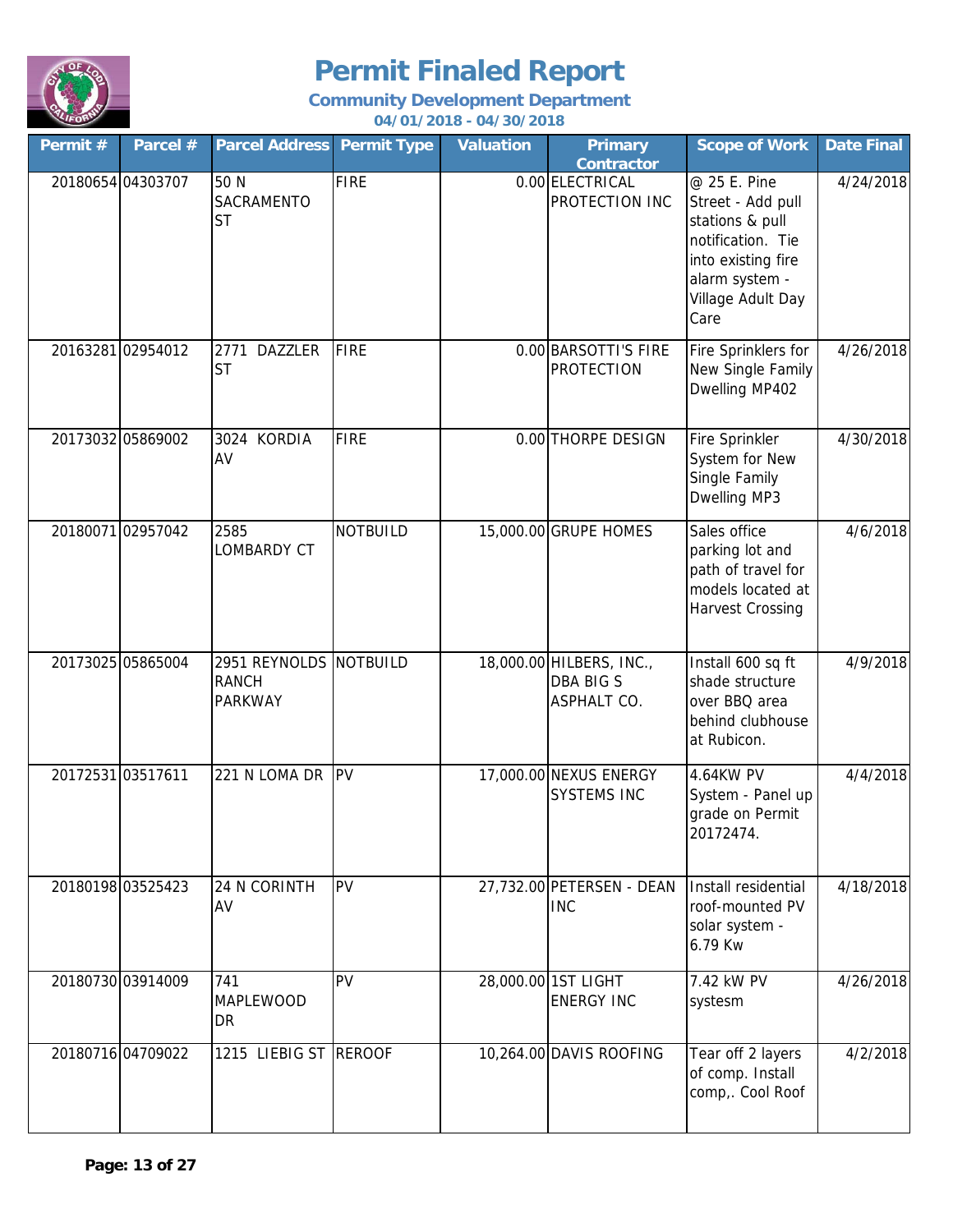

| Permit #          | Parcel #          | <b>Parcel Address</b>                                    | <b>Permit Type</b> | <b>Valuation</b> | <b>Primary</b><br><b>Contractor</b>                                | <b>Scope of Work</b>                                                                                                                           | <b>Date Final</b> |
|-------------------|-------------------|----------------------------------------------------------|--------------------|------------------|--------------------------------------------------------------------|------------------------------------------------------------------------------------------------------------------------------------------------|-------------------|
| 20180654 04303707 |                   | 50 N<br>SACRAMENTO<br><b>ST</b>                          | <b>FIRE</b>        |                  | 0.00 ELECTRICAL<br>PROTECTION INC                                  | @ 25 E. Pine<br>Street - Add pull<br>stations & pull<br>notification. Tie<br>into existing fire<br>alarm system -<br>Village Adult Day<br>Care | 4/24/2018         |
| 20163281 02954012 |                   | 2771 DAZZLER<br><b>ST</b>                                | <b>FIRE</b>        |                  | 0.00 BARSOTTI'S FIRE<br><b>PROTECTION</b>                          | Fire Sprinklers for<br>New Single Family<br>Dwelling MP402                                                                                     | 4/26/2018         |
| 20173032 05869002 |                   | 3024 KORDIA<br>AV                                        | <b>FIRE</b>        |                  | 0.00 THORPE DESIGN                                                 | Fire Sprinkler<br>System for New<br>Single Family<br>Dwelling MP3                                                                              | 4/30/2018         |
|                   | 20180071 02957042 | 2585<br>LOMBARDY CT                                      | <b>NOTBUILD</b>    |                  | 15,000.00 GRUPE HOMES                                              | Sales office<br>parking lot and<br>path of travel for<br>models located at<br><b>Harvest Crossing</b>                                          | 4/6/2018          |
| 20173025 05865004 |                   | 2951 REYNOLDS NOTBUILD<br><b>RANCH</b><br><b>PARKWAY</b> |                    |                  | 18,000.00 HILBERS, INC.,<br><b>DBA BIG S</b><br><b>ASPHALT CO.</b> | Install 600 sq ft<br>shade structure<br>over BBQ area<br>behind clubhouse<br>at Rubicon.                                                       | 4/9/2018          |
| 20172531 03517611 |                   | 221 N LOMA DR PV                                         |                    |                  | 17,000.00 NEXUS ENERGY<br><b>SYSTEMS INC</b>                       | 4.64KW PV<br>System - Panel up<br>grade on Permit<br>20172474.                                                                                 | 4/4/2018          |
| 20180198 03525423 |                   | 24 N CORINTH<br>AV                                       | PV                 |                  | 27,732.00 PETERSEN - DEAN<br><b>INC</b>                            | Install residential<br>roof-mounted PV<br>solar system -<br>6.79 Kw                                                                            | 4/18/2018         |
|                   | 20180730 03914009 | 741<br>MAPLEWOOD<br>DR                                   | PV                 |                  | 28,000.00 1ST LIGHT<br><b>ENERGY INC</b>                           | 7.42 kW PV<br>systesm                                                                                                                          | 4/26/2018         |
|                   | 20180716 04709022 | 1215 LIEBIG ST REROOF                                    |                    |                  | 10,264.00 DAVIS ROOFING                                            | Tear off 2 layers<br>of comp. Install<br>comp,. Cool Roof                                                                                      | 4/2/2018          |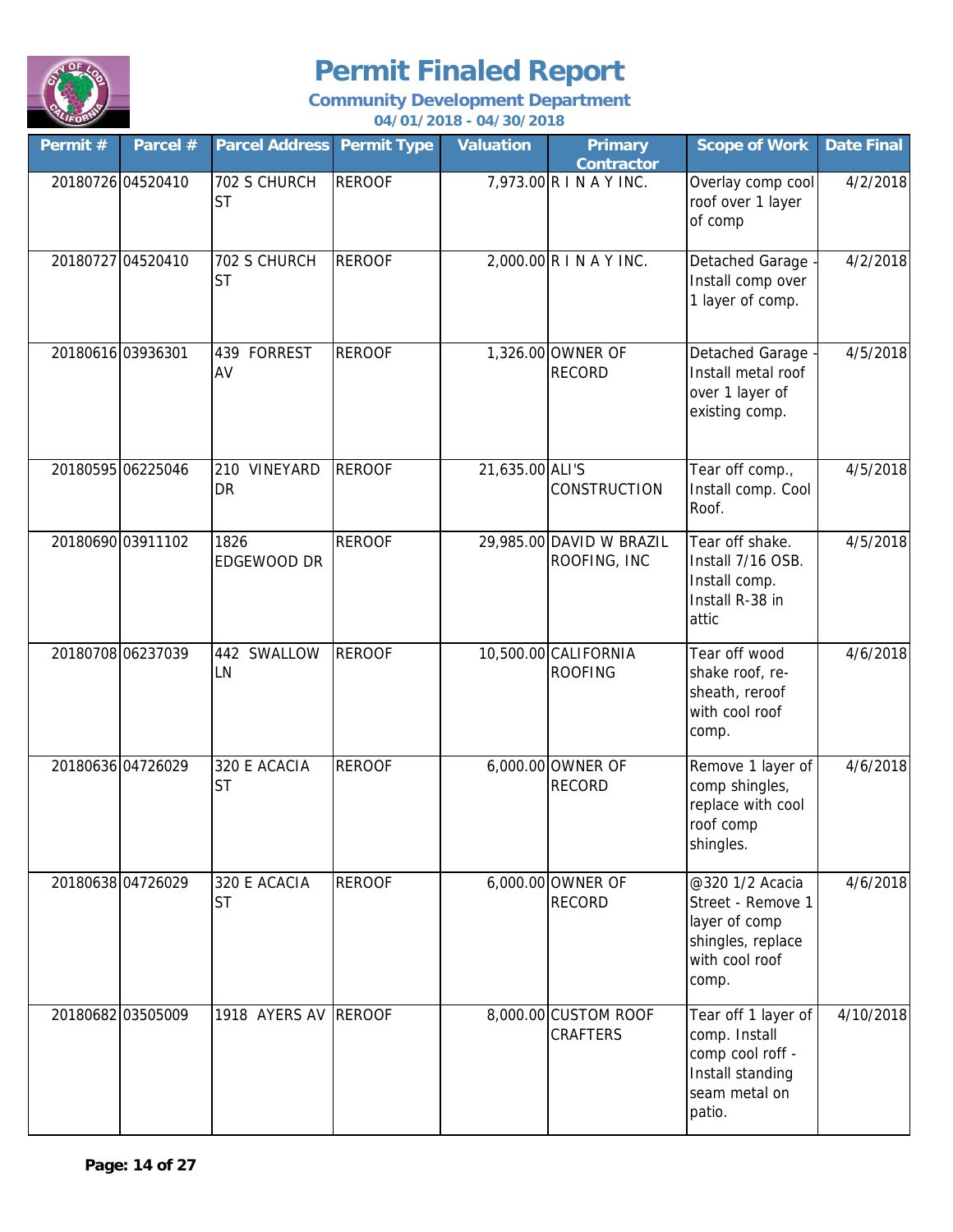

| Permit # | Parcel #          | <b>Parcel Address</b>       | <b>Permit Type</b> | <b>Valuation</b> | <b>Primary</b><br><b>Contractor</b>      | <b>Scope of Work</b>                                                                                    | <b>Date Final</b> |
|----------|-------------------|-----------------------------|--------------------|------------------|------------------------------------------|---------------------------------------------------------------------------------------------------------|-------------------|
|          | 20180726 04520410 | 702 S CHURCH<br><b>ST</b>   | <b>REROOF</b>      |                  | 7,973.00 R I N A Y INC.                  | Overlay comp cool<br>roof over 1 layer<br>of comp                                                       | 4/2/2018          |
|          | 20180727 04520410 | 702 S CHURCH<br><b>ST</b>   | <b>REROOF</b>      |                  | $2,000.00$ R I N A Y INC.                | Detached Garage<br>Install comp over<br>1 layer of comp.                                                | 4/2/2018          |
|          | 20180616 03936301 | <b>FORREST</b><br>439<br>AV | <b>REROOF</b>      |                  | 1,326.00 OWNER OF<br><b>RECORD</b>       | Detached Garage -<br>Install metal roof<br>over 1 layer of<br>existing comp.                            | 4/5/2018          |
|          | 20180595 06225046 | 210 VINEYARD<br>DR          | <b>REROOF</b>      | 21,635.00 ALI'S  | CONSTRUCTION                             | Tear off comp.,<br>Install comp. Cool<br>Roof.                                                          | 4/5/2018          |
|          | 20180690 03911102 | 1826<br>EDGEWOOD DR         | <b>REROOF</b>      |                  | 29,985.00 DAVID W BRAZIL<br>ROOFING, INC | Tear off shake.<br>Install 7/16 OSB.<br>Install comp.<br>Install R-38 in<br>attic                       | 4/5/2018          |
|          | 20180708 06237039 | 442<br>SWALLOW<br>LN        | <b>REROOF</b>      |                  | 10,500.00 CALIFORNIA<br><b>ROOFING</b>   | Tear off wood<br>shake roof, re-<br>sheath, reroof<br>with cool roof<br>comp.                           | 4/6/2018          |
|          | 20180636 04726029 | 320 E ACACIA<br><b>ST</b>   | <b>REROOF</b>      |                  | 6,000.00 OWNER OF<br><b>RECORD</b>       | Remove 1 layer of<br>comp shingles,<br>replace with cool<br>roof comp<br>shingles.                      | 4/6/2018          |
|          | 20180638 04726029 | 320 E ACACIA<br><b>ST</b>   | <b>REROOF</b>      |                  | 6,000.00 OWNER OF<br><b>RECORD</b>       | @320 1/2 Acacia<br>Street - Remove 1<br>layer of comp<br>shingles, replace<br>with cool roof<br>comp.   | 4/6/2018          |
|          | 20180682 03505009 | 1918 AYERS AV REROOF        |                    |                  | 8,000.00 CUSTOM ROOF<br><b>CRAFTERS</b>  | Tear off 1 layer of<br>comp. Install<br>comp cool roff -<br>Install standing<br>seam metal on<br>patio. | 4/10/2018         |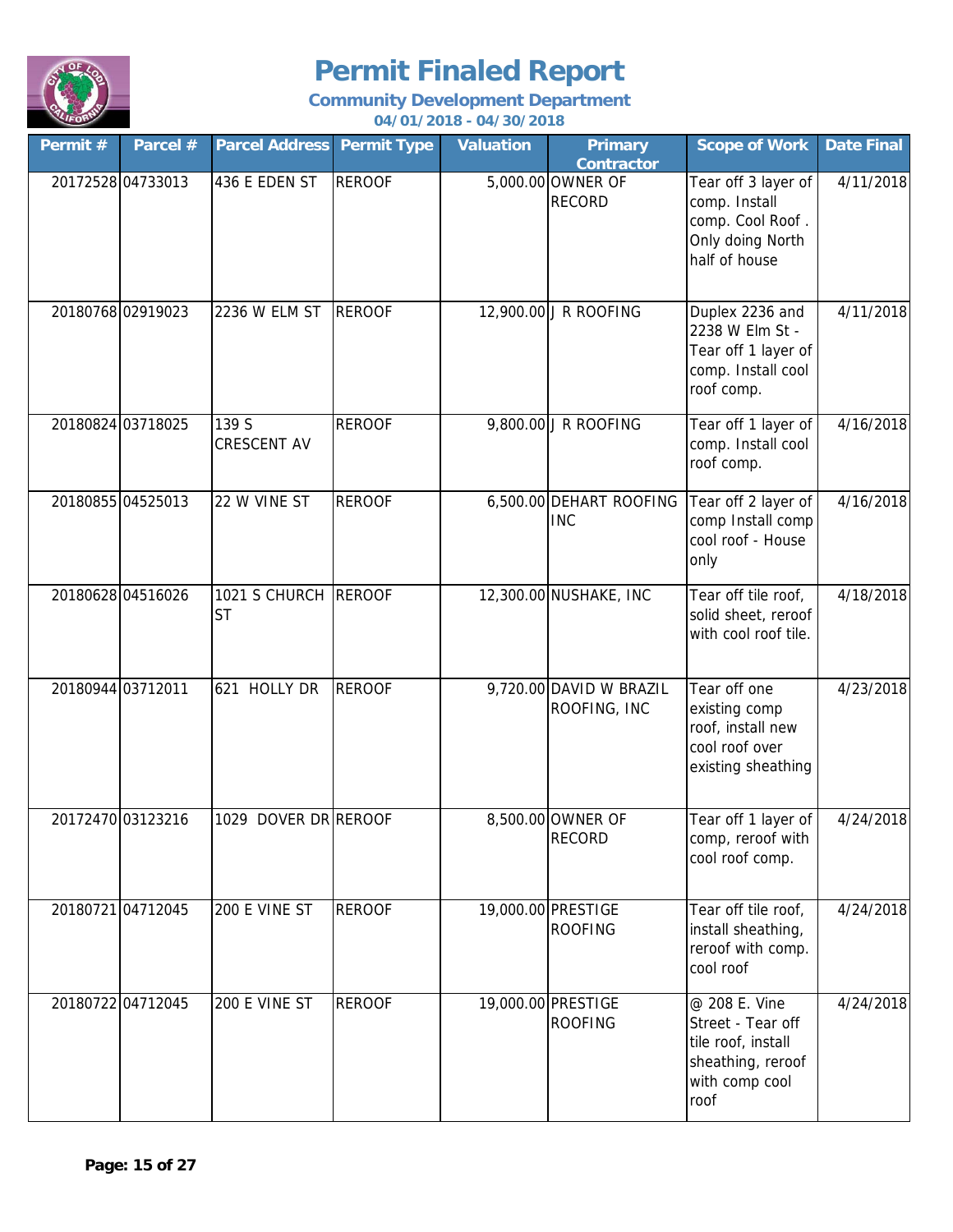

| Permit # | Parcel #          | <b>Parcel Address Permit Type</b> |               | <b>Valuation</b> | <b>Primary</b><br><b>Contractor</b>     | <b>Scope of Work</b>                                                                                    | <b>Date Final</b> |
|----------|-------------------|-----------------------------------|---------------|------------------|-----------------------------------------|---------------------------------------------------------------------------------------------------------|-------------------|
|          | 20172528 04733013 | 436 E EDEN ST                     | <b>REROOF</b> |                  | 5,000.00 OWNER OF<br><b>RECORD</b>      | Tear off 3 layer of<br>comp. Install<br>comp. Cool Roof.<br>Only doing North<br>half of house           | 4/11/2018         |
|          | 20180768 02919023 | 2236 W ELM ST                     | <b>REROOF</b> |                  | 12,900.00 J R ROOFING                   | Duplex 2236 and<br>2238 W Elm St -<br>Tear off 1 layer of<br>comp. Install cool<br>roof comp.           | 4/11/2018         |
|          | 20180824 03718025 | 139 S<br>CRESCENT AV              | <b>REROOF</b> |                  | 9,800.00 J R ROOFING                    | Tear off 1 layer of<br>comp. Install cool<br>roof comp.                                                 | 4/16/2018         |
|          | 20180855 04525013 | 22 W VINE ST                      | <b>REROOF</b> |                  | 6,500.00 DEHART ROOFING<br><b>INC</b>   | Tear off 2 layer of<br>comp Install comp<br>cool roof - House<br>only                                   | 4/16/2018         |
|          | 20180628 04516026 | 1021 S CHURCH REROOF<br><b>ST</b> |               |                  | 12,300.00 NUSHAKE, INC                  | Tear off tile roof,<br>solid sheet, reroof<br>with cool roof tile.                                      | 4/18/2018         |
|          | 20180944 03712011 | 621 HOLLY DR                      | <b>REROOF</b> |                  | 9,720.00 DAVID W BRAZIL<br>ROOFING, INC | Tear off one<br>existing comp<br>roof, install new<br>cool roof over<br>existing sheathing              | 4/23/2018         |
|          | 20172470 03123216 | 1029 DOVER DR REROOF              |               |                  | 8,500.00 OWNER OF<br><b>RECORD</b>      | Tear off 1 layer of<br>comp, reroof with<br>cool roof comp.                                             | 4/24/2018         |
|          | 20180721 04712045 | 200 E VINE ST                     | <b>REROOF</b> |                  | 19,000.00 PRESTIGE<br><b>ROOFING</b>    | Tear off tile roof,<br>install sheathing,<br>reroof with comp.<br>cool roof                             | 4/24/2018         |
|          | 20180722 04712045 | 200 E VINE ST                     | <b>REROOF</b> |                  | 19,000.00 PRESTIGE<br><b>ROOFING</b>    | @ 208 E. Vine<br>Street - Tear off<br>tile roof, install<br>sheathing, reroof<br>with comp cool<br>roof | 4/24/2018         |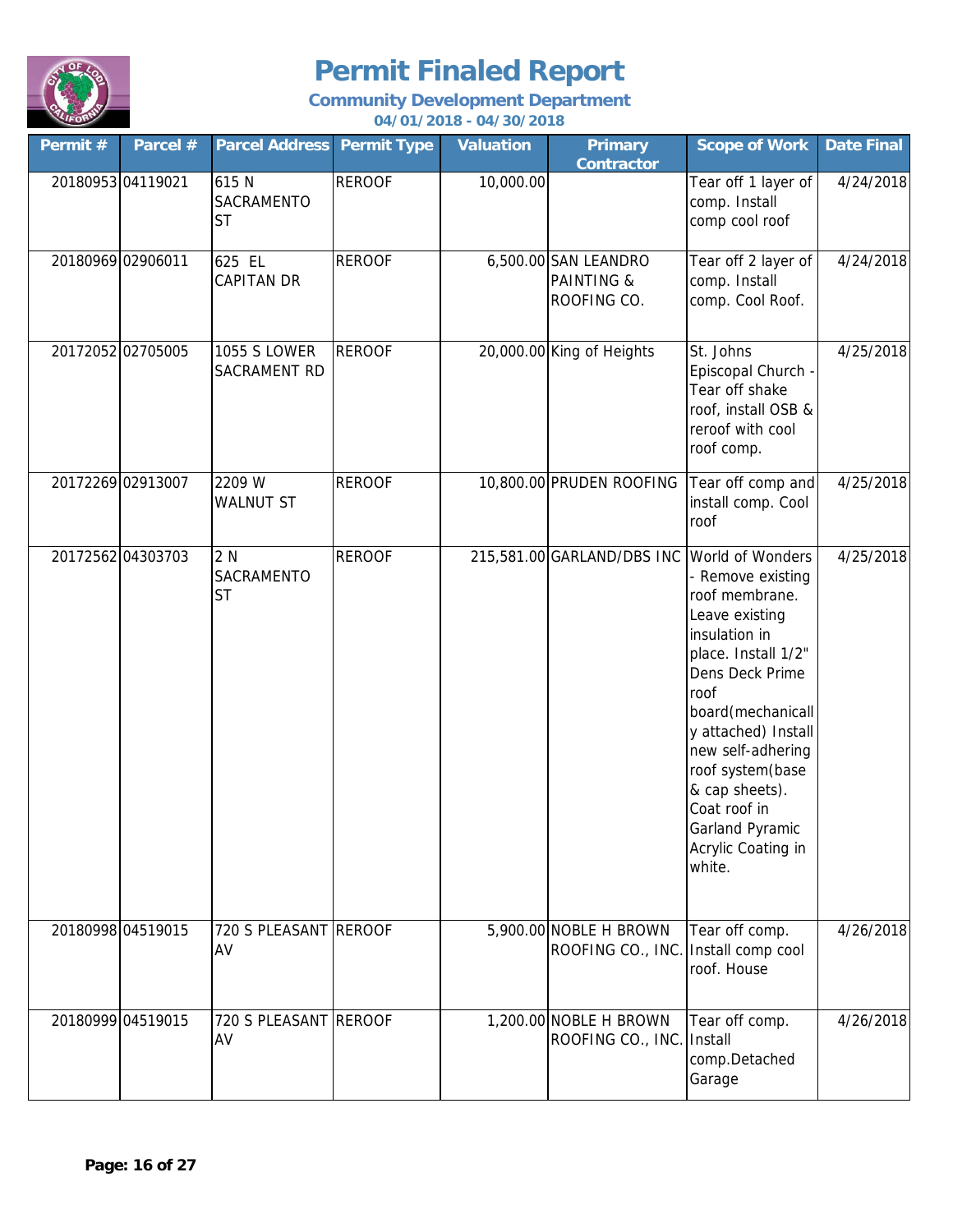

| Permit # | Parcel #          | <b>Parcel Address</b>                 | <b>Permit Type</b> | <b>Valuation</b> | <b>Primary</b><br><b>Contractor</b>                          | <b>Scope of Work</b>                                                                                                                                                                                                                                                                                                   | <b>Date Final</b> |
|----------|-------------------|---------------------------------------|--------------------|------------------|--------------------------------------------------------------|------------------------------------------------------------------------------------------------------------------------------------------------------------------------------------------------------------------------------------------------------------------------------------------------------------------------|-------------------|
|          | 20180953 04119021 | 615 N<br>SACRAMENTO<br><b>ST</b>      | <b>REROOF</b>      | 10,000.00        |                                                              | Tear off 1 layer of<br>comp. Install<br>comp cool roof                                                                                                                                                                                                                                                                 | 4/24/2018         |
|          | 20180969 02906011 | 625 EL<br><b>CAPITAN DR</b>           | <b>REROOF</b>      |                  | 6,500.00 SAN LEANDRO<br><b>PAINTING &amp;</b><br>ROOFING CO. | Tear off 2 layer of<br>comp. Install<br>comp. Cool Roof.                                                                                                                                                                                                                                                               | 4/24/2018         |
|          | 20172052 02705005 | <b>1055 S LOWER</b><br>SACRAMENT RD   | <b>REROOF</b>      |                  | 20,000.00 King of Heights                                    | St. Johns<br>Episcopal Church -<br>Tear off shake<br>roof, install OSB &<br>reroof with cool<br>roof comp.                                                                                                                                                                                                             | 4/25/2018         |
|          | 20172269 02913007 | 2209 W<br><b>WALNUT ST</b>            | <b>REROOF</b>      |                  | 10,800.00 PRUDEN ROOFING                                     | Tear off comp and<br>install comp. Cool<br>roof                                                                                                                                                                                                                                                                        | 4/25/2018         |
|          | 20172562 04303703 | 2 N<br><b>SACRAMENTO</b><br><b>ST</b> | <b>REROOF</b>      |                  | 215,581.00 GARLAND/DBS INC                                   | World of Wonders<br>- Remove existing<br>roof membrane.<br>Leave existing<br>insulation in<br>place. Install 1/2"<br>Dens Deck Prime<br>roof<br>board(mechanicall<br>y attached) Install<br>new self-adhering<br>roof system(base<br>& cap sheets).<br>Coat roof in<br>Garland Pyramic<br>Acrylic Coating in<br>white. | 4/25/2018         |
|          | 20180998 04519015 | 720 S PLEASANT REROOF<br>AV           |                    |                  | 5,900.00 NOBLE H BROWN<br>ROOFING CO., INC.                  | Tear off comp.<br>Install comp cool<br>roof. House                                                                                                                                                                                                                                                                     | 4/26/2018         |
|          | 20180999 04519015 | 720 S PLEASANT REROOF<br>AV           |                    |                  | 1,200.00 NOBLE H BROWN<br>ROOFING CO., INC.                  | Tear off comp.<br>Install<br>comp.Detached<br>Garage                                                                                                                                                                                                                                                                   | 4/26/2018         |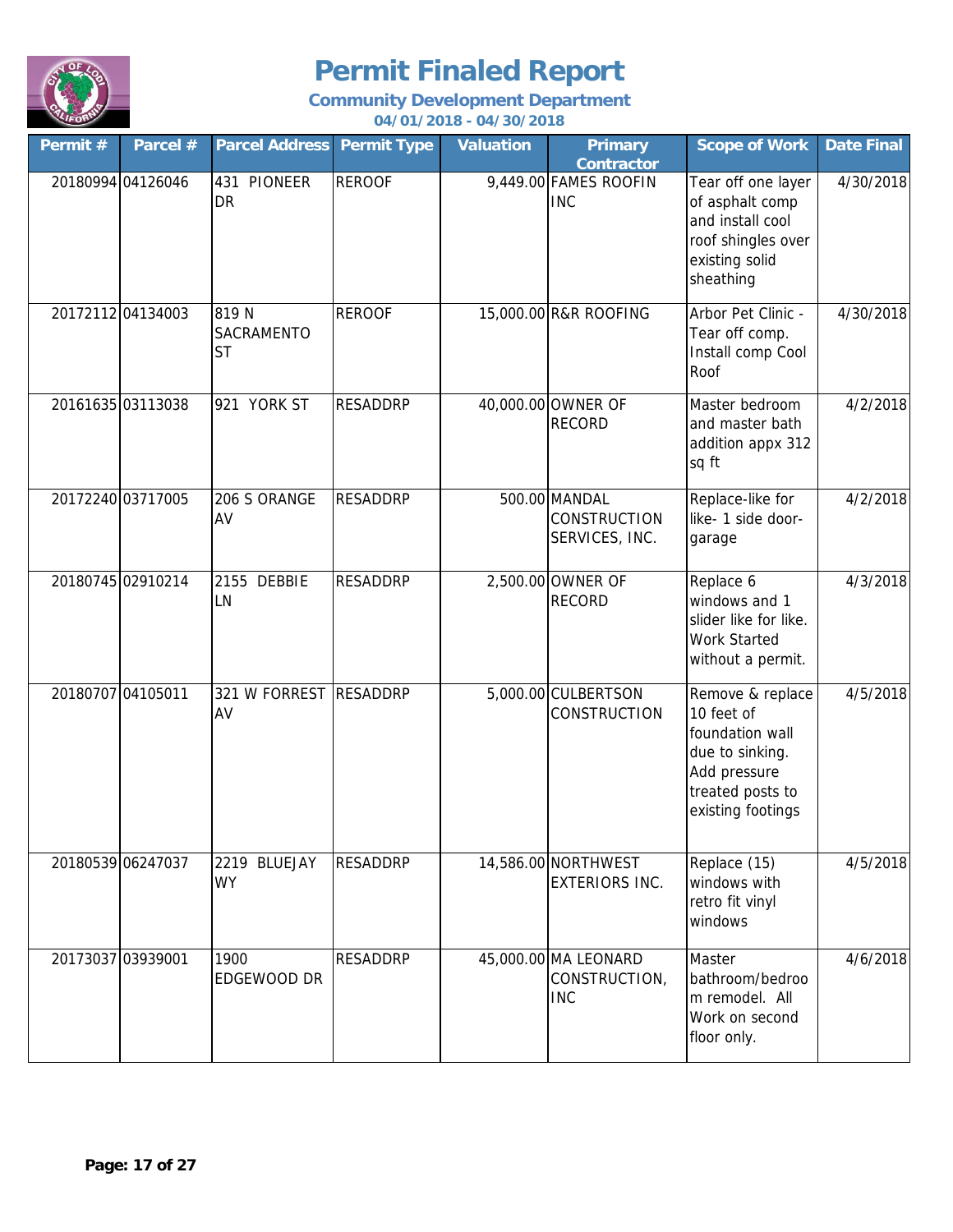

| Permit #          | Parcel #          | <b>Parcel Address</b>           | <b>Permit Type</b> | <b>Valuation</b> | <b>Primary</b><br>Contractor                           | <b>Scope of Work</b>                                                                                                          | <b>Date Final</b> |
|-------------------|-------------------|---------------------------------|--------------------|------------------|--------------------------------------------------------|-------------------------------------------------------------------------------------------------------------------------------|-------------------|
|                   | 20180994 04126046 | 431 PIONEER<br><b>DR</b>        | <b>REROOF</b>      |                  | 9,449.00 FAMES ROOFIN<br><b>INC</b>                    | Tear off one layer<br>of asphalt comp<br>and install cool<br>roof shingles over<br>existing solid<br>sheathing                | 4/30/2018         |
|                   | 20172112 04134003 | 819N<br>SACRAMENTO<br><b>ST</b> | <b>REROOF</b>      |                  | 15,000.00 R&R ROOFING                                  | Arbor Pet Clinic -<br>Tear off comp.<br>Install comp Cool<br>Roof                                                             | 4/30/2018         |
|                   | 20161635 03113038 | 921 YORK ST                     | <b>RESADDRP</b>    |                  | 40,000.00 OWNER OF<br><b>RECORD</b>                    | Master bedroom<br>and master bath<br>addition appx 312<br>sq ft                                                               | 4/2/2018          |
|                   | 20172240 03717005 | 206 S ORANGE<br>AV              | <b>RESADDRP</b>    |                  | 500.00 MANDAL<br><b>CONSTRUCTION</b><br>SERVICES, INC. | Replace-like for<br>like- 1 side door-<br>garage                                                                              | 4/2/2018          |
|                   | 20180745 02910214 | 2155 DEBBIE<br>LN               | <b>RESADDRP</b>    |                  | 2,500.00 OWNER OF<br><b>RECORD</b>                     | Replace 6<br>windows and 1<br>slider like for like.<br><b>Work Started</b><br>without a permit.                               | 4/3/2018          |
| 20180707 04105011 |                   | 321 W FORREST<br>AV             | <b>RESADDRP</b>    |                  | 5,000.00 CULBERTSON<br><b>CONSTRUCTION</b>             | Remove & replace<br>10 feet of<br>foundation wall<br>due to sinking.<br>Add pressure<br>treated posts to<br>existing footings | 4/5/2018          |
|                   | 20180539 06247037 | 2219 BLUEJAY<br><b>WY</b>       | <b>RESADDRP</b>    |                  | 14,586.00 NORTHWEST<br><b>EXTERIORS INC.</b>           | Replace (15)<br>windows with<br>retro fit vinyl<br>windows                                                                    | 4/5/2018          |
| 20173037 03939001 |                   | 1900<br>EDGEWOOD DR             | <b>RESADDRP</b>    |                  | 45,000.00 MA LEONARD<br>CONSTRUCTION,<br><b>INC</b>    | Master<br>bathroom/bedroo<br>m remodel. All<br>Work on second<br>floor only.                                                  | 4/6/2018          |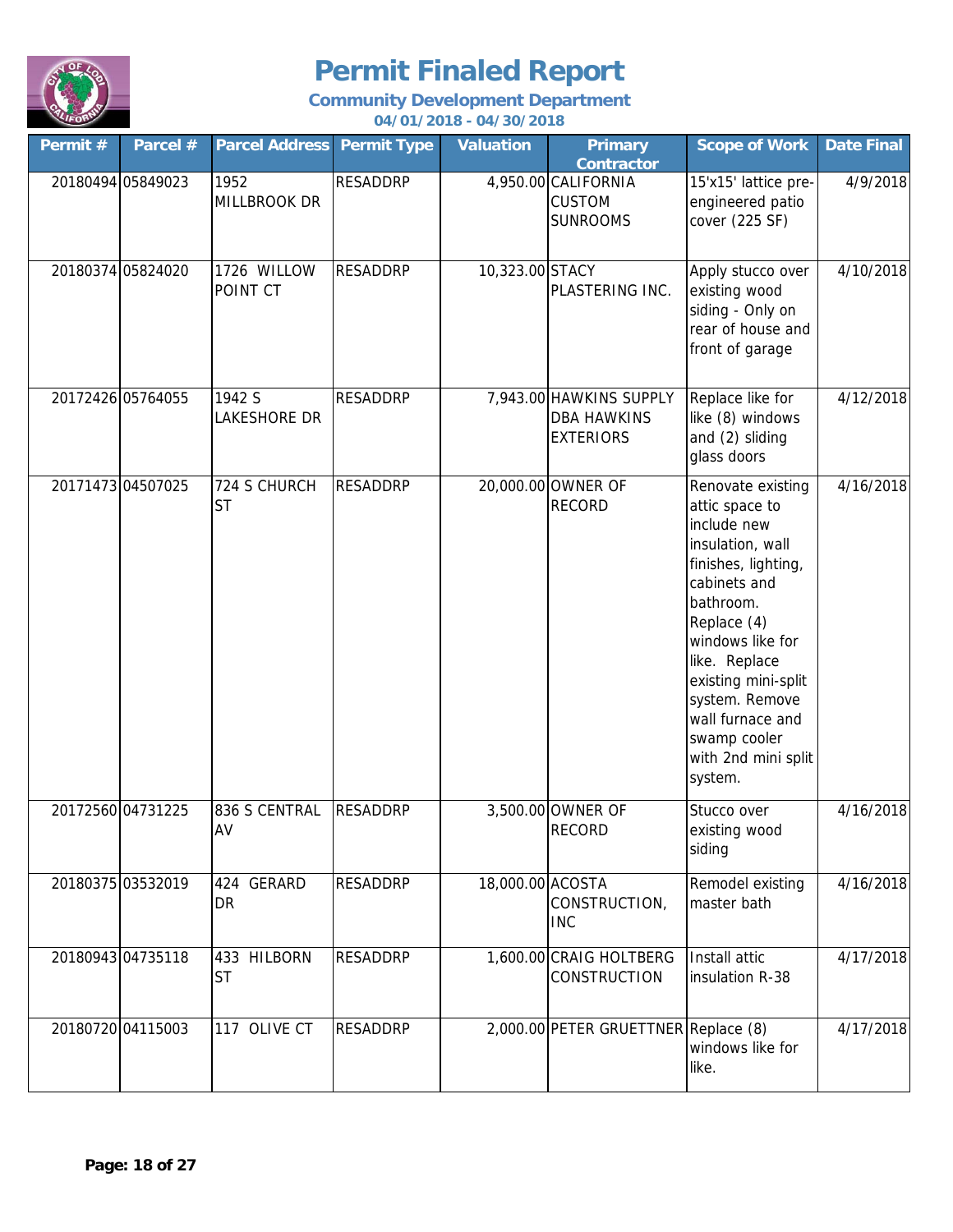

| Permit #          | Parcel #          | <b>Parcel Address Permit Type</b> |                 | <b>Valuation</b> | <b>Primary</b><br><b>Contractor</b>                               | <b>Scope of Work</b>                                                                                                                                                                                                                                                                          | <b>Date Final</b> |
|-------------------|-------------------|-----------------------------------|-----------------|------------------|-------------------------------------------------------------------|-----------------------------------------------------------------------------------------------------------------------------------------------------------------------------------------------------------------------------------------------------------------------------------------------|-------------------|
|                   | 20180494 05849023 | 1952<br><b>MILLBROOK DR</b>       | <b>RESADDRP</b> |                  | 4,950.00 CALIFORNIA<br><b>CUSTOM</b><br><b>SUNROOMS</b>           | 15'x15' lattice pre-<br>engineered patio<br>cover (225 SF)                                                                                                                                                                                                                                    | 4/9/2018          |
|                   | 20180374 05824020 | 1726 WILLOW<br>POINT CT           | <b>RESADDRP</b> | 10,323.00 STACY  | PLASTERING INC.                                                   | Apply stucco over<br>existing wood<br>siding - Only on<br>rear of house and<br>front of garage                                                                                                                                                                                                | 4/10/2018         |
| 20172426 05764055 |                   | 1942 S<br>LAKESHORE DR            | <b>RESADDRP</b> |                  | 7,943.00 HAWKINS SUPPLY<br><b>DBA HAWKINS</b><br><b>EXTERIORS</b> | Replace like for<br>like (8) windows<br>and (2) sliding<br>glass doors                                                                                                                                                                                                                        | 4/12/2018         |
| 20171473 04507025 |                   | 724 S CHURCH<br><b>ST</b>         | <b>RESADDRP</b> |                  | 20,000.00 OWNER OF<br><b>RECORD</b>                               | Renovate existing<br>attic space to<br>include new<br>insulation, wall<br>finishes, lighting,<br>cabinets and<br>bathroom.<br>Replace (4)<br>windows like for<br>like. Replace<br>existing mini-split<br>system. Remove<br>wall furnace and<br>swamp cooler<br>with 2nd mini split<br>system. | 4/16/2018         |
| 20172560 04731225 |                   | 836 S CENTRAL<br>AV               | <b>RESADDRP</b> |                  | 3,500.00 OWNER OF<br><b>RECORD</b>                                | Stucco over<br>existing wood<br>siding                                                                                                                                                                                                                                                        | 4/16/2018         |
| 20180375 03532019 |                   | 424 GERARD<br>DR                  | <b>RESADDRP</b> | 18,000.00 ACOSTA | CONSTRUCTION,<br><b>INC</b>                                       | Remodel existing<br>master bath                                                                                                                                                                                                                                                               | 4/16/2018         |
|                   | 20180943 04735118 | 433 HILBORN<br><b>ST</b>          | <b>RESADDRP</b> |                  | 1,600.00 CRAIG HOLTBERG<br><b>CONSTRUCTION</b>                    | Install attic<br>insulation R-38                                                                                                                                                                                                                                                              | 4/17/2018         |
|                   | 20180720 04115003 | 117 OLIVE CT                      | <b>RESADDRP</b> |                  | 2,000.00 PETER GRUETTNER Replace (8)                              | windows like for<br>like.                                                                                                                                                                                                                                                                     | 4/17/2018         |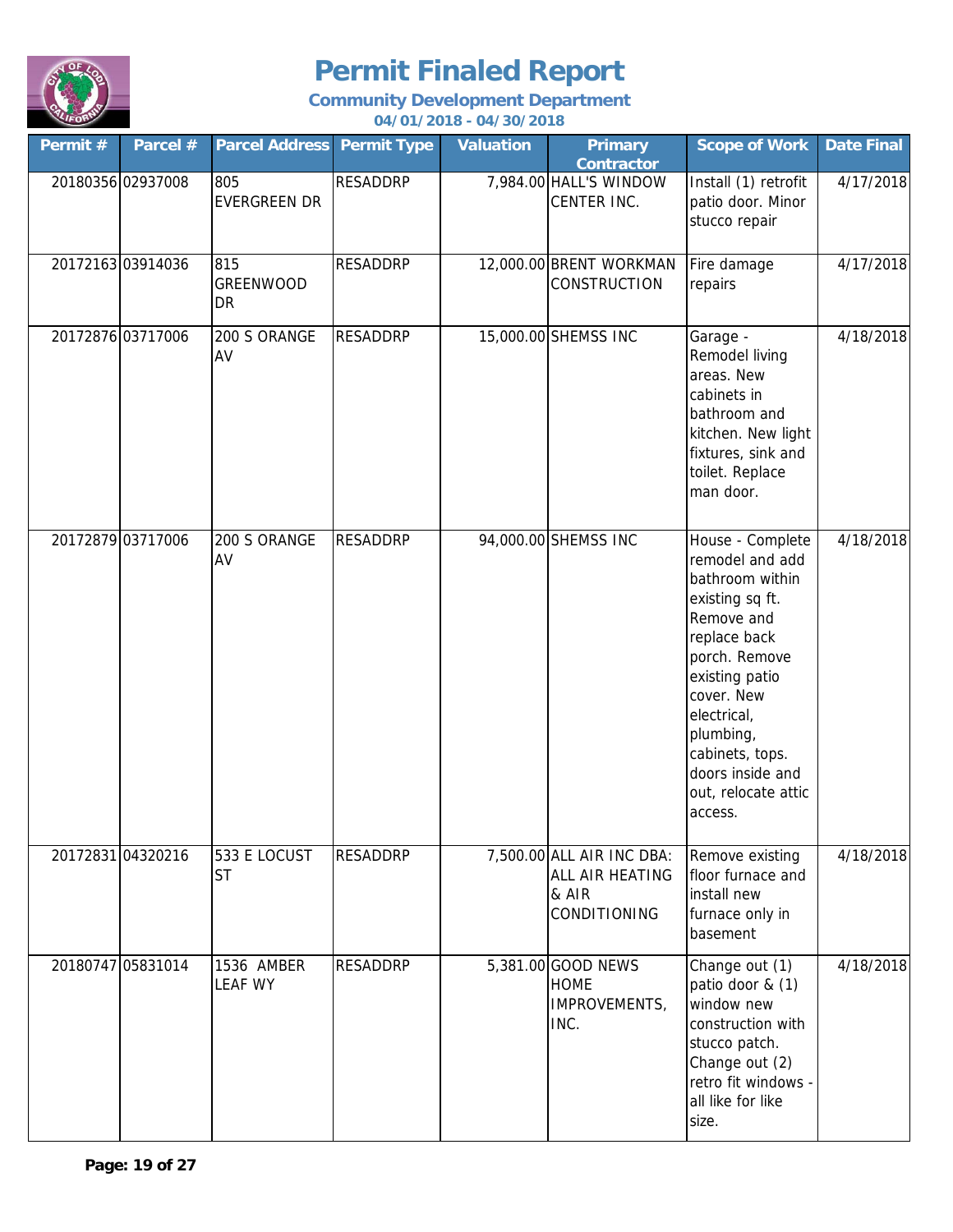

| Permit #          | Parcel #          | <b>Parcel Address Permit Type</b> |                 | <b>Valuation</b> | <b>Primary</b><br><b>Contractor</b>                                          | <b>Scope of Work</b>                                                                                                                                                                                                                                          | <b>Date Final</b> |
|-------------------|-------------------|-----------------------------------|-----------------|------------------|------------------------------------------------------------------------------|---------------------------------------------------------------------------------------------------------------------------------------------------------------------------------------------------------------------------------------------------------------|-------------------|
|                   | 20180356 02937008 | 805<br><b>EVERGREEN DR</b>        | <b>RESADDRP</b> |                  | 7,984.00 HALL'S WINDOW<br>CENTER INC.                                        | Install (1) retrofit<br>patio door. Minor<br>stucco repair                                                                                                                                                                                                    | 4/17/2018         |
|                   | 20172163 03914036 | 815<br>GREENWOOD<br>DR            | <b>RESADDRP</b> |                  | 12,000.00 BRENT WORKMAN<br>CONSTRUCTION                                      | Fire damage<br>repairs                                                                                                                                                                                                                                        | 4/17/2018         |
| 20172876 03717006 |                   | 200 S ORANGE<br>AV                | <b>RESADDRP</b> |                  | 15,000.00 SHEMSS INC                                                         | Garage -<br>Remodel living<br>areas. New<br>cabinets in<br>bathroom and<br>kitchen. New light<br>fixtures, sink and<br>toilet. Replace<br>man door.                                                                                                           | 4/18/2018         |
| 20172879 03717006 |                   | 200 S ORANGE<br>AV                | <b>RESADDRP</b> |                  | 94,000.00 SHEMSS INC                                                         | House - Complete<br>remodel and add<br>bathroom within<br>existing sq ft.<br>Remove and<br>replace back<br>porch. Remove<br>existing patio<br>cover. New<br>electrical,<br>plumbing,<br>cabinets, tops.<br>doors inside and<br>out, relocate attic<br>access. | 4/18/2018         |
| 20172831 04320216 |                   | 533 E LOCUST<br><b>ST</b>         | <b>RESADDRP</b> |                  | 7,500.00 ALL AIR INC DBA:<br><b>ALL AIR HEATING</b><br>& AIR<br>CONDITIONING | Remove existing<br>floor furnace and<br>install new<br>furnace only in<br>basement                                                                                                                                                                            | 4/18/2018         |
|                   | 20180747 05831014 | 1536 AMBER<br><b>LEAF WY</b>      | <b>RESADDRP</b> |                  | 5,381.00 GOOD NEWS<br><b>HOME</b><br>IMPROVEMENTS,<br>INC.                   | Change out (1)<br>patio door & (1)<br>window new<br>construction with<br>stucco patch.<br>Change out (2)<br>retro fit windows -<br>all like for like<br>size.                                                                                                 | 4/18/2018         |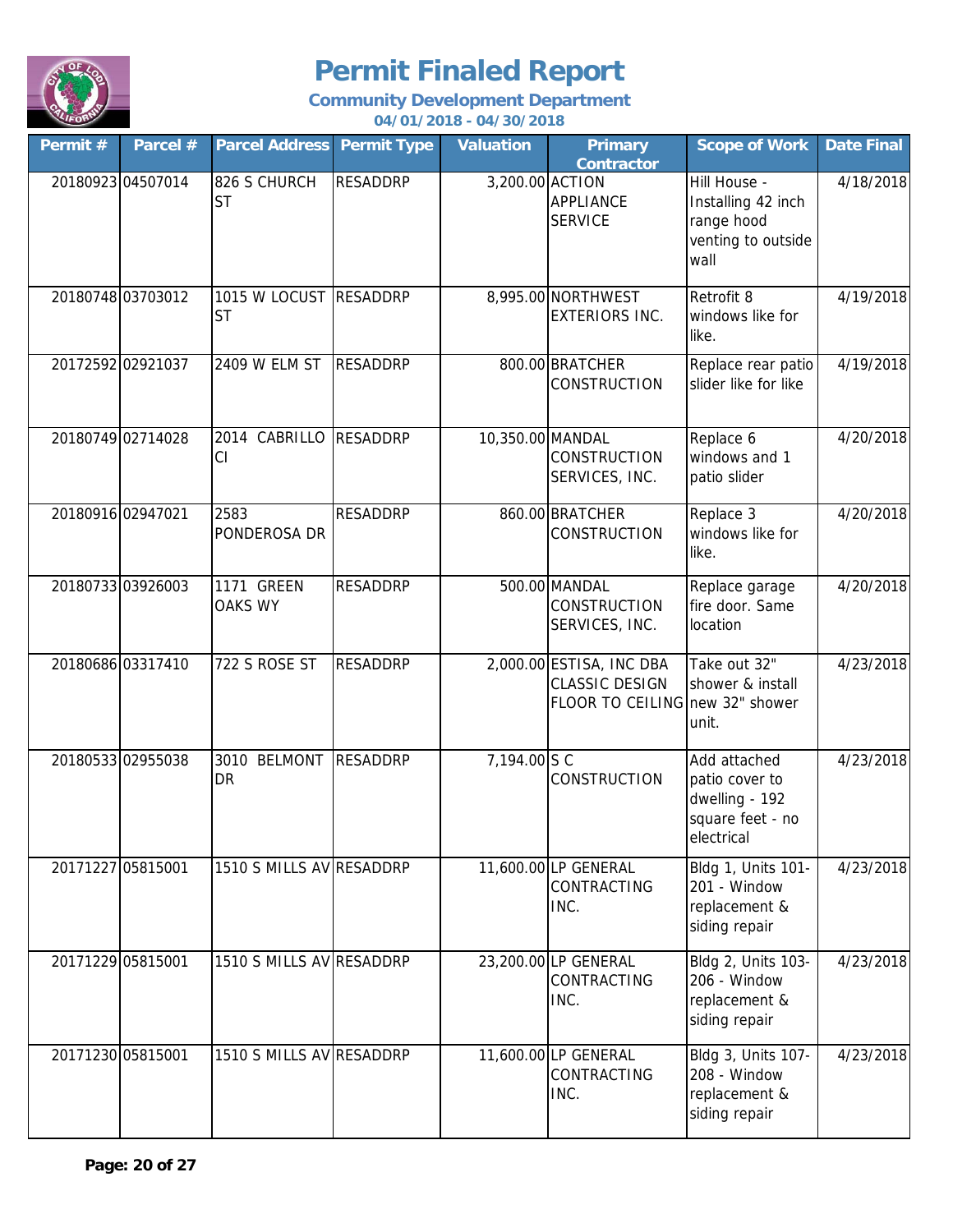

| Permit #          | Parcel #          | <b>Parcel Address</b>               | <b>Permit Type</b> | <b>Valuation</b> | <b>Primary</b><br><b>Contractor</b>                                                  | <b>Scope of Work</b>                                                               | <b>Date Final</b> |
|-------------------|-------------------|-------------------------------------|--------------------|------------------|--------------------------------------------------------------------------------------|------------------------------------------------------------------------------------|-------------------|
|                   | 20180923 04507014 | 826 S CHURCH<br><b>ST</b>           | <b>RESADDRP</b>    | 3,200.00 ACTION  | <b>APPLIANCE</b><br><b>SERVICE</b>                                                   | Hill House -<br>Installing 42 inch<br>range hood<br>venting to outside<br>wall     | 4/18/2018         |
|                   | 20180748 03703012 | 1015 W LOCUST RESADDRP<br><b>ST</b> |                    |                  | 8,995.00 NORTHWEST<br><b>EXTERIORS INC.</b>                                          | Retrofit 8<br>windows like for<br>like.                                            | 4/19/2018         |
|                   | 20172592 02921037 | 2409 W ELM ST                       | <b>RESADDRP</b>    |                  | 800.00 BRATCHER<br>CONSTRUCTION                                                      | Replace rear patio<br>slider like for like                                         | 4/19/2018         |
|                   | 20180749 02714028 | 2014 CABRILLO<br>CI                 | <b>RESADDRP</b>    | 10,350.00 MANDAL | <b>CONSTRUCTION</b><br>SERVICES, INC.                                                | Replace 6<br>windows and 1<br>patio slider                                         | 4/20/2018         |
|                   | 20180916 02947021 | 2583<br>PONDEROSA DR                | <b>RESADDRP</b>    |                  | 860.00 BRATCHER<br>CONSTRUCTION                                                      | Replace 3<br>windows like for<br>like.                                             | 4/20/2018         |
|                   | 20180733 03926003 | 1171 GREEN<br><b>OAKS WY</b>        | <b>RESADDRP</b>    |                  | 500.00 MANDAL<br><b>CONSTRUCTION</b><br>SERVICES, INC.                               | Replace garage<br>fire door. Same<br>location                                      | 4/20/2018         |
|                   | 20180686 03317410 | 722 S ROSE ST                       | <b>RESADDRP</b>    |                  | 2,000.00 ESTISA, INC DBA<br><b>CLASSIC DESIGN</b><br>FLOOR TO CEILING new 32" shower | Take out 32"<br>shower & install<br>unit.                                          | 4/23/2018         |
|                   | 20180533 02955038 | 3010 BELMONT<br>DR                  | <b>RESADDRP</b>    | 7,194.00 S C     | <b>CONSTRUCTION</b>                                                                  | Add attached<br>patio cover to<br>dwelling - 192<br>square feet - no<br>electrical | 4/23/2018         |
| 20171227 05815001 |                   | 1510 S MILLS AV RESADDRP            |                    |                  | 11,600.00 LP GENERAL<br>CONTRACTING<br>INC.                                          | Bldg 1, Units 101-<br>201 - Window<br>replacement &<br>siding repair               | 4/23/2018         |
|                   | 20171229 05815001 | 1510 S MILLS AV RESADDRP            |                    |                  | 23,200.00 LP GENERAL<br>CONTRACTING<br>INC.                                          | Bldg 2, Units 103-<br>206 - Window<br>replacement &<br>siding repair               | 4/23/2018         |
|                   | 20171230 05815001 | 1510 S MILLS AV RESADDRP            |                    |                  | 11,600.00 LP GENERAL<br>CONTRACTING<br>INC.                                          | Bldg 3, Units 107-<br>208 - Window<br>replacement &<br>siding repair               | 4/23/2018         |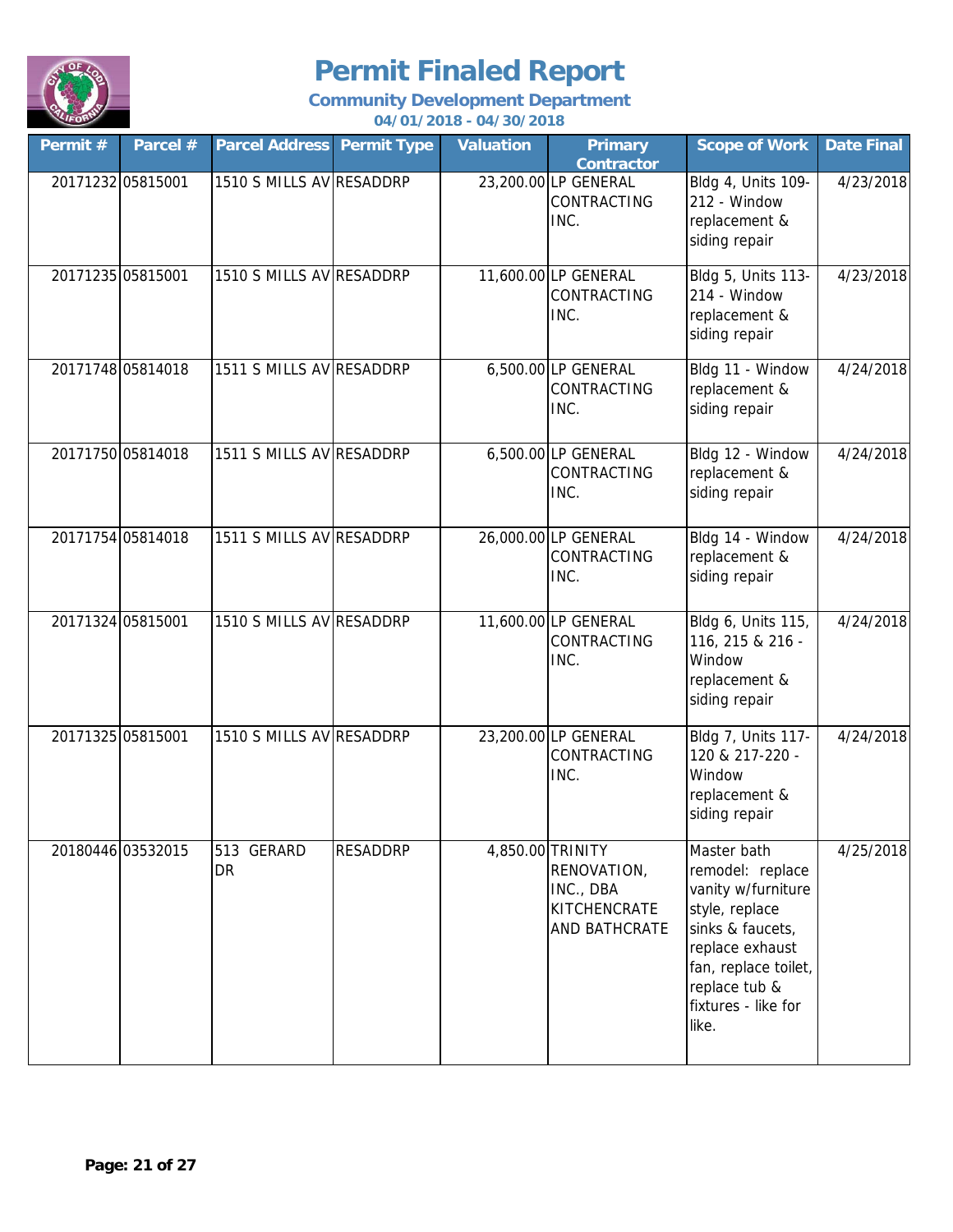

| Permit #          | Parcel #          | <b>Parcel Address Permit Type</b> |                 | <b>Valuation</b> | <b>Primary</b><br><b>Contractor</b>                                           | <b>Scope of Work</b>                                                                                                                                                                    | <b>Date Final</b> |
|-------------------|-------------------|-----------------------------------|-----------------|------------------|-------------------------------------------------------------------------------|-----------------------------------------------------------------------------------------------------------------------------------------------------------------------------------------|-------------------|
| 20171232 05815001 |                   | 1510 S MILLS AV RESADDRP          |                 |                  | 23,200.00 LP GENERAL<br>CONTRACTING<br>INC.                                   | Bldg 4, Units 109-<br>212 - Window<br>replacement &<br>siding repair                                                                                                                    | 4/23/2018         |
|                   | 20171235 05815001 | 1510 S MILLS AV RESADDRP          |                 |                  | 11,600.00 LP GENERAL<br>CONTRACTING<br>INC.                                   | Bldg 5, Units 113-<br>214 - Window<br>replacement &<br>siding repair                                                                                                                    | 4/23/2018         |
|                   | 20171748 05814018 | 1511 S MILLS AV RESADDRP          |                 |                  | 6,500.00 LP GENERAL<br>CONTRACTING<br>INC.                                    | Bldg 11 - Window<br>replacement &<br>siding repair                                                                                                                                      | 4/24/2018         |
|                   | 20171750 05814018 | 1511 S MILLS AV RESADDRP          |                 |                  | 6,500.00 LP GENERAL<br><b>CONTRACTING</b><br>INC.                             | Bldg 12 - Window<br>replacement &<br>siding repair                                                                                                                                      | 4/24/2018         |
|                   | 20171754 05814018 | 1511 S MILLS AV RESADDRP          |                 |                  | 26,000.00 LP GENERAL<br>CONTRACTING<br>INC.                                   | Bldg 14 - Window<br>replacement &<br>siding repair                                                                                                                                      | 4/24/2018         |
|                   | 20171324 05815001 | 1510 S MILLS AV RESADDRP          |                 |                  | 11,600.00 LP GENERAL<br><b>CONTRACTING</b><br>INC.                            | Bldg 6, Units 115,<br>116, 215 & 216 -<br>Window<br>replacement &<br>siding repair                                                                                                      | 4/24/2018         |
|                   | 20171325 05815001 | 1510 S MILLS AV RESADDRP          |                 |                  | 23,200.00 LP GENERAL<br>CONTRACTING<br>INC.                                   | Bldg 7, Units 117-<br>120 & 217-220 -<br>Window<br>replacement &<br>siding repair                                                                                                       | 4/24/2018         |
|                   | 20180446 03532015 | 513 GERARD<br>DR                  | <b>RESADDRP</b> |                  | 4,850.00 TRINITY<br>RENOVATION,<br>INC., DBA<br>KITCHENCRATE<br>AND BATHCRATE | Master bath<br>remodel: replace<br>vanity w/furniture<br>style, replace<br>sinks & faucets,<br>replace exhaust<br>fan, replace toilet,<br>replace tub &<br>fixtures - like for<br>like. | 4/25/2018         |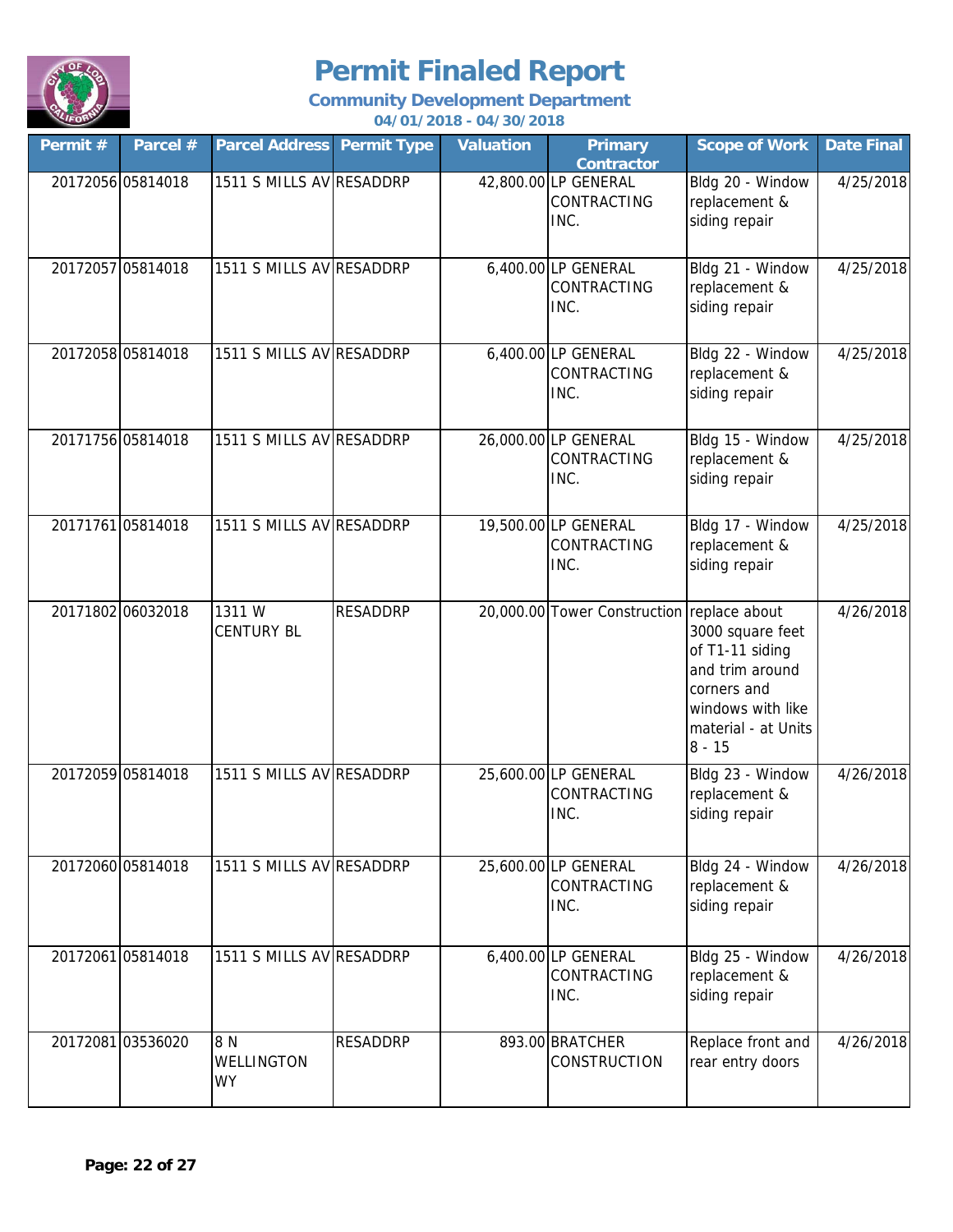

| Permit# | Parcel #          | <b>Parcel Address Permit Type</b>     |                 | <b>Valuation</b> | <b>Primary</b><br><b>Contractor</b>                | <b>Scope of Work</b>                                                                                                          | <b>Date Final</b> |
|---------|-------------------|---------------------------------------|-----------------|------------------|----------------------------------------------------|-------------------------------------------------------------------------------------------------------------------------------|-------------------|
|         | 20172056 05814018 | 1511 S MILLS AV RESADDRP              |                 |                  | 42,800.00 LP GENERAL<br>CONTRACTING<br>INC.        | Bldg 20 - Window<br>replacement &<br>siding repair                                                                            | 4/25/2018         |
|         | 20172057 05814018 | 1511 S MILLS AV RESADDRP              |                 |                  | 6,400.00 LP GENERAL<br><b>CONTRACTING</b><br>INC.  | Bldg 21 - Window<br>replacement &<br>siding repair                                                                            | 4/25/2018         |
|         | 20172058 05814018 | 1511 S MILLS AV RESADDRP              |                 |                  | 6,400.00 LP GENERAL<br><b>CONTRACTING</b><br>INC.  | Bldg 22 - Window<br>replacement &<br>siding repair                                                                            | 4/25/2018         |
|         | 20171756 05814018 | 1511 S MILLS AV RESADDRP              |                 |                  | 26,000.00 LP GENERAL<br><b>CONTRACTING</b><br>INC. | Bldg 15 - Window<br>replacement &<br>siding repair                                                                            | 4/25/2018         |
|         | 20171761 05814018 | 1511 S MILLS AV RESADDRP              |                 |                  | 19,500.00 LP GENERAL<br>CONTRACTING<br>INC.        | Bldg 17 - Window<br>replacement &<br>siding repair                                                                            | 4/25/2018         |
|         | 20171802 06032018 | 1311W<br><b>CENTURY BL</b>            | <b>RESADDRP</b> |                  | 20,000.00 Tower Construction replace about         | 3000 square feet<br>of T1-11 siding<br>and trim around<br>corners and<br>windows with like<br>material - at Units<br>$8 - 15$ | 4/26/2018         |
|         | 20172059 05814018 | 1511 S MILLS AV RESADDRP              |                 |                  | 25,600.00 LP GENERAL<br>CONTRACTING<br>INC.        | Bldg 23 - Window<br>replacement &<br>siding repair                                                                            | 4/26/2018         |
|         | 20172060 05814018 | 1511 S MILLS AV RESADDRP              |                 |                  | 25,600.00 LP GENERAL<br><b>CONTRACTING</b><br>INC. | Bldg 24 - Window<br>replacement &<br>siding repair                                                                            | 4/26/2018         |
|         | 20172061 05814018 | 1511 S MILLS AV RESADDRP              |                 |                  | 6,400.00 LP GENERAL<br><b>CONTRACTING</b><br>INC.  | Bldg 25 - Window<br>replacement &<br>siding repair                                                                            | 4/26/2018         |
|         | 20172081 03536020 | 8 N<br><b>WELLINGTON</b><br><b>WY</b> | <b>RESADDRP</b> |                  | 893.00 BRATCHER<br><b>CONSTRUCTION</b>             | Replace front and<br>rear entry doors                                                                                         | 4/26/2018         |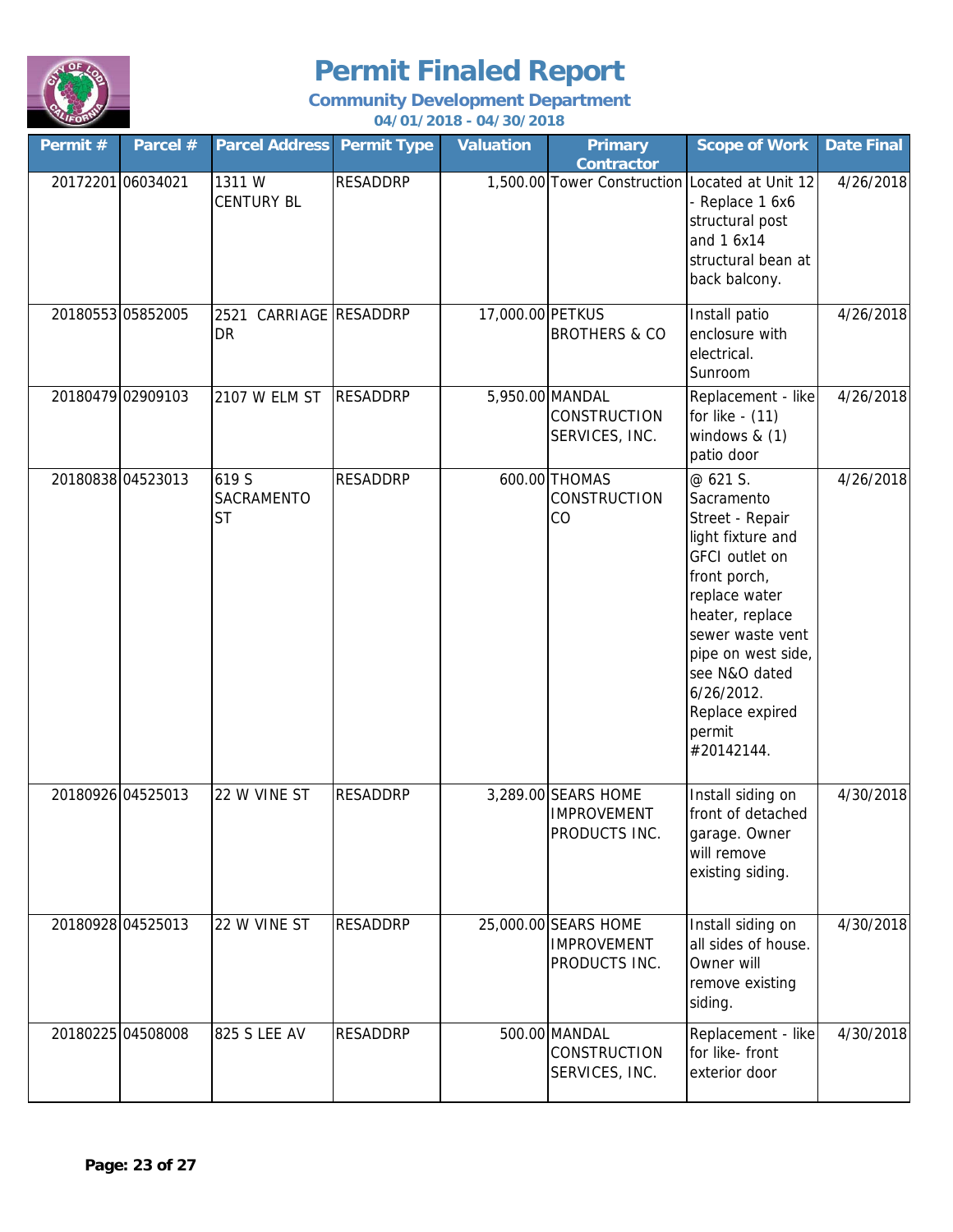

| Permit #          | Parcel #          | <b>Parcel Address</b>                   | <b>Permit Type</b> | <b>Valuation</b> | <b>Primary</b><br><b>Contractor</b>                         | <b>Scope of Work</b>                                                                                                                                                                                                                                               | <b>Date Final</b> |
|-------------------|-------------------|-----------------------------------------|--------------------|------------------|-------------------------------------------------------------|--------------------------------------------------------------------------------------------------------------------------------------------------------------------------------------------------------------------------------------------------------------------|-------------------|
| 20172201 06034021 |                   | 1311W<br><b>CENTURY BL</b>              | <b>RESADDRP</b>    |                  | 1,500.00 Tower Construction Located at Unit 12              | - Replace 1 6x6<br>structural post<br>and 1 6x14<br>structural bean at<br>back balcony.                                                                                                                                                                            | 4/26/2018         |
|                   | 20180553 05852005 | 2521<br><b>DR</b>                       | CARRIAGE RESADDRP  | 17,000.00 PETKUS | <b>BROTHERS &amp; CO</b>                                    | Install patio<br>enclosure with<br>electrical.<br>Sunroom                                                                                                                                                                                                          | 4/26/2018         |
|                   | 20180479 02909103 | 2107 W ELM ST                           | <b>RESADDRP</b>    |                  | 5,950.00 MANDAL<br><b>CONSTRUCTION</b><br>SERVICES, INC.    | Replacement - like<br>for like - (11)<br>windows $& (1)$<br>patio door                                                                                                                                                                                             | 4/26/2018         |
|                   | 20180838 04523013 | 619 S<br><b>SACRAMENTO</b><br><b>ST</b> | <b>RESADDRP</b>    |                  | 600.00 THOMAS<br>CONSTRUCTION<br>CO                         | @ 621 S.<br>Sacramento<br>Street - Repair<br>light fixture and<br><b>GFCI</b> outlet on<br>front porch,<br>replace water<br>heater, replace<br>sewer waste vent<br>pipe on west side,<br>see N&O dated<br>$6/26/2012$ .<br>Replace expired<br>permit<br>#20142144. | 4/26/2018         |
|                   | 20180926 04525013 | 22 W VINE ST                            | <b>RESADDRP</b>    |                  | 3,289.00 SEARS HOME<br><b>IMPROVEMENT</b><br>PRODUCTS INC.  | Install siding on<br>front of detached<br>garage. Owner<br>will remove<br>existing siding.                                                                                                                                                                         | 4/30/2018         |
|                   | 20180928 04525013 | 22 W VINE ST                            | <b>RESADDRP</b>    |                  | 25,000.00 SEARS HOME<br><b>IMPROVEMENT</b><br>PRODUCTS INC. | Install siding on<br>all sides of house.<br>Owner will<br>remove existing<br>siding.                                                                                                                                                                               | 4/30/2018         |
|                   | 20180225 04508008 | 825 S LEE AV                            | <b>RESADDRP</b>    |                  | 500.00 MANDAL<br>CONSTRUCTION<br>SERVICES, INC.             | Replacement - like<br>for like- front<br>exterior door                                                                                                                                                                                                             | 4/30/2018         |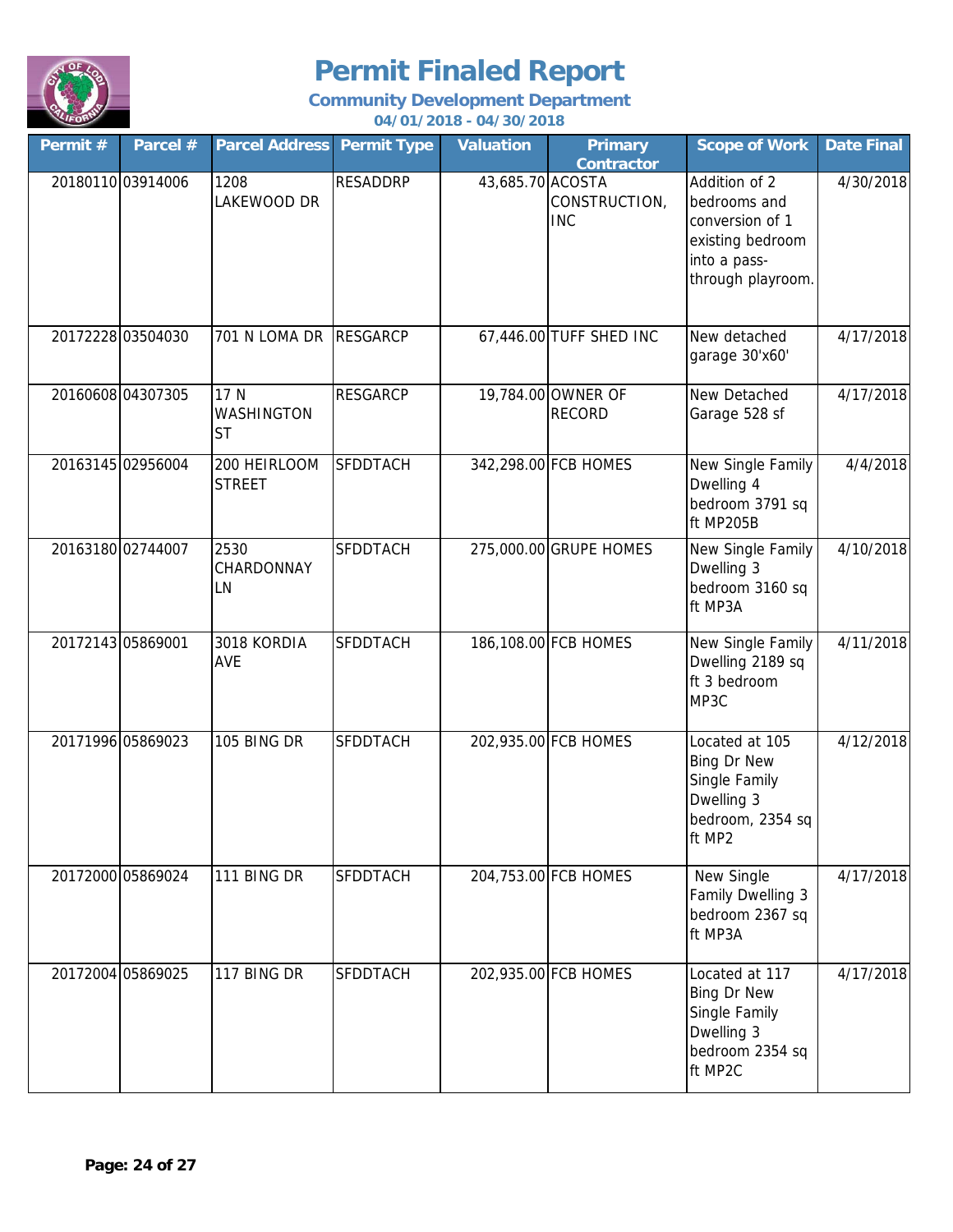

| Permit #          | Parcel #          | <b>Parcel Address</b>                  | <b>Permit Type</b> | <b>Valuation</b> | <b>Primary</b><br><b>Contractor</b> | <b>Scope of Work</b>                                                                                      | <b>Date Final</b> |
|-------------------|-------------------|----------------------------------------|--------------------|------------------|-------------------------------------|-----------------------------------------------------------------------------------------------------------|-------------------|
| 20180110 03914006 |                   | 1208<br>LAKEWOOD DR                    | <b>RESADDRP</b>    | 43,685.70 ACOSTA | CONSTRUCTION,<br><b>INC</b>         | Addition of 2<br>bedrooms and<br>conversion of 1<br>existing bedroom<br>into a pass-<br>through playroom. | 4/30/2018         |
|                   | 20172228 03504030 | 701 N LOMA DR RESGARCP                 |                    |                  | 67,446.00 TUFF SHED INC             | New detached<br>garage 30'x60'                                                                            | 4/17/2018         |
| 20160608 04307305 |                   | 17 N<br><b>WASHINGTON</b><br><b>ST</b> | <b>RESGARCP</b>    |                  | 19,784.00 OWNER OF<br><b>RECORD</b> | New Detached<br>Garage 528 sf                                                                             | 4/17/2018         |
| 20163145 02956004 |                   | 200 HEIRLOOM<br><b>STREET</b>          | <b>SFDDTACH</b>    |                  | 342,298.00 FCB HOMES                | New Single Family<br>Dwelling 4<br>bedroom 3791 sq<br>ft MP205B                                           | 4/4/2018          |
| 20163180 02744007 |                   | 2530<br>CHARDONNAY<br>LN               | <b>SFDDTACH</b>    |                  | 275,000.00 GRUPE HOMES              | New Single Family<br>Dwelling 3<br>bedroom 3160 sq<br>ft MP3A                                             | 4/10/2018         |
| 20172143 05869001 |                   | 3018 KORDIA<br>AVE                     | SFDDTACH           |                  | 186,108.00 FCB HOMES                | New Single Family<br>Dwelling 2189 sq<br>ft 3 bedroom<br>MP3C                                             | 4/11/2018         |
| 20171996 05869023 |                   | 105 BING DR                            | <b>SFDDTACH</b>    |                  | 202,935.00 FCB HOMES                | Located at 105<br><b>Bing Dr New</b><br>Single Family<br>Dwelling 3<br>bedroom, 2354 sq<br>ft MP2         | 4/12/2018         |
| 20172000 05869024 |                   | 111 BING DR                            | <b>SFDDTACH</b>    |                  | 204,753.00 FCB HOMES                | New Single<br>Family Dwelling 3<br>bedroom 2367 sq<br>ft MP3A                                             | 4/17/2018         |
| 20172004 05869025 |                   | 117 BING DR                            | <b>SFDDTACH</b>    |                  | 202,935.00 FCB HOMES                | Located at 117<br><b>Bing Dr New</b><br>Single Family<br>Dwelling 3<br>bedroom 2354 sq<br>ft MP2C         | 4/17/2018         |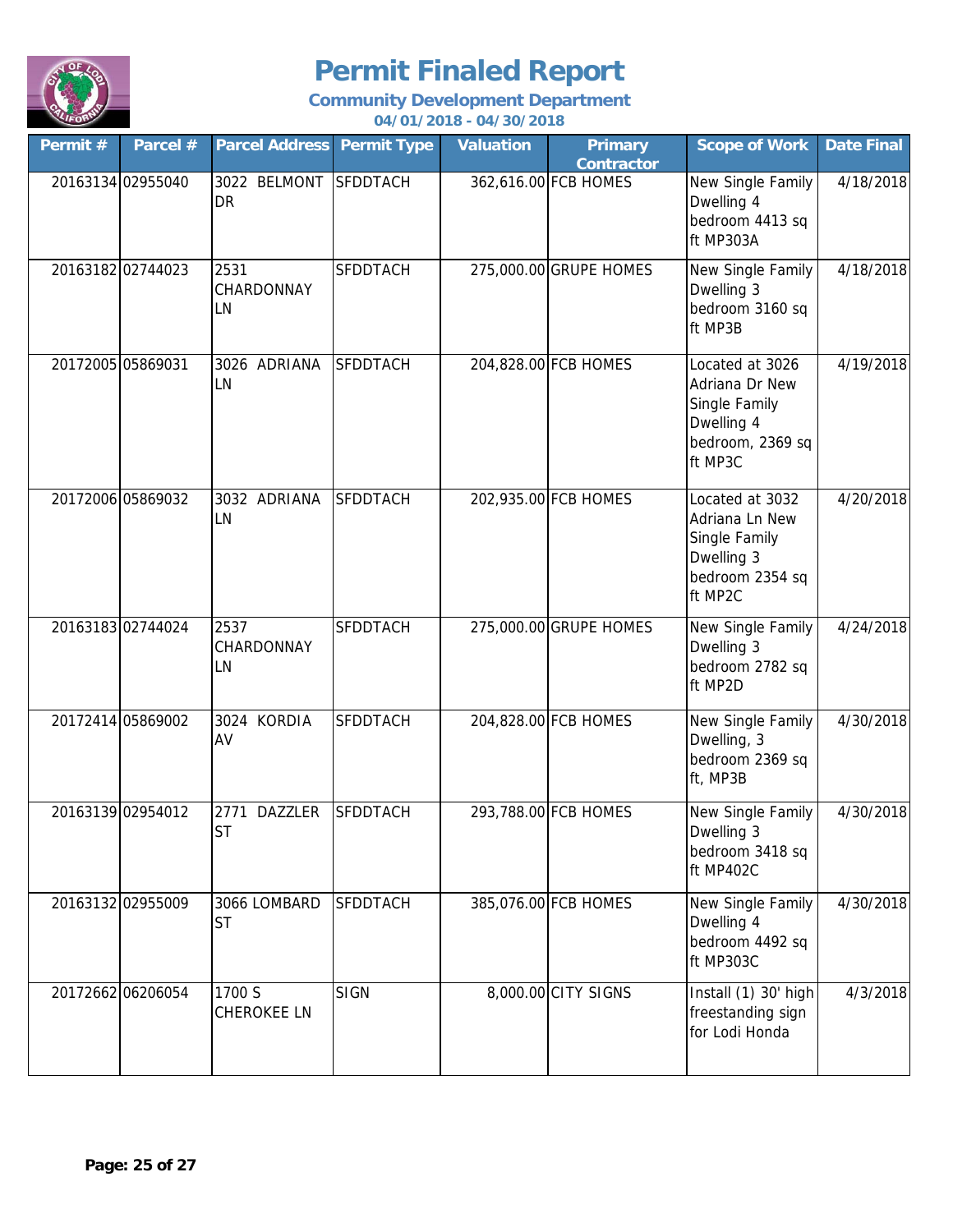

| Permit # | Parcel #          | <b>Parcel Address Permit Type</b> |                 | <b>Valuation</b> | <b>Primary</b><br><b>Contractor</b> | <b>Scope of Work</b>                                                                            | <b>Date Final</b> |
|----------|-------------------|-----------------------------------|-----------------|------------------|-------------------------------------|-------------------------------------------------------------------------------------------------|-------------------|
|          | 20163134 02955040 | 3022 BELMONT<br><b>DR</b>         | <b>SFDDTACH</b> |                  | 362,616.00 FCB HOMES                | New Single Family<br>Dwelling 4<br>bedroom 4413 sq<br>ft MP303A                                 | 4/18/2018         |
|          | 20163182 02744023 | 2531<br>CHARDONNAY<br>LN          | <b>SFDDTACH</b> |                  | 275,000.00 GRUPE HOMES              | New Single Family<br>Dwelling 3<br>bedroom 3160 sq<br>ft MP3B                                   | 4/18/2018         |
|          | 20172005 05869031 | 3026 ADRIANA<br>LN                | <b>SFDDTACH</b> |                  | 204,828.00 FCB HOMES                | Located at 3026<br>Adriana Dr New<br>Single Family<br>Dwelling 4<br>bedroom, 2369 sq<br>ft MP3C | 4/19/2018         |
|          | 20172006 05869032 | 3032 ADRIANA<br>LN                | <b>SFDDTACH</b> |                  | 202,935.00 FCB HOMES                | Located at 3032<br>Adriana Ln New<br>Single Family<br>Dwelling 3<br>bedroom 2354 sq<br>ft MP2C  | 4/20/2018         |
|          | 2016318302744024  | 2537<br>CHARDONNAY<br>LN          | <b>SFDDTACH</b> |                  | 275,000.00 GRUPE HOMES              | New Single Family<br>Dwelling 3<br>bedroom 2782 sq<br>ft MP2D                                   | 4/24/2018         |
|          | 20172414 05869002 | 3024 KORDIA<br>AV                 | <b>SFDDTACH</b> |                  | 204,828.00 FCB HOMES                | New Single Family<br>Dwelling, 3<br>bedroom 2369 sq<br>ft, MP3B                                 | 4/30/2018         |
|          | 20163139 02954012 | 2771 DAZZLER<br><b>ST</b>         | <b>SFDDTACH</b> |                  | 293,788.00 FCB HOMES                | New Single Family<br>Dwelling 3<br>bedroom 3418 sq<br>ft MP402C                                 | 4/30/2018         |
|          | 20163132 02955009 | 3066 LOMBARD<br><b>ST</b>         | <b>SFDDTACH</b> |                  | 385,076.00 FCB HOMES                | New Single Family<br>Dwelling 4<br>bedroom 4492 sq<br>ft MP303C                                 | 4/30/2018         |
|          | 20172662 06206054 | 1700 S<br>CHEROKEE LN             | <b>SIGN</b>     |                  | 8,000.00 CITY SIGNS                 | Install (1) 30' high<br>freestanding sign<br>for Lodi Honda                                     | 4/3/2018          |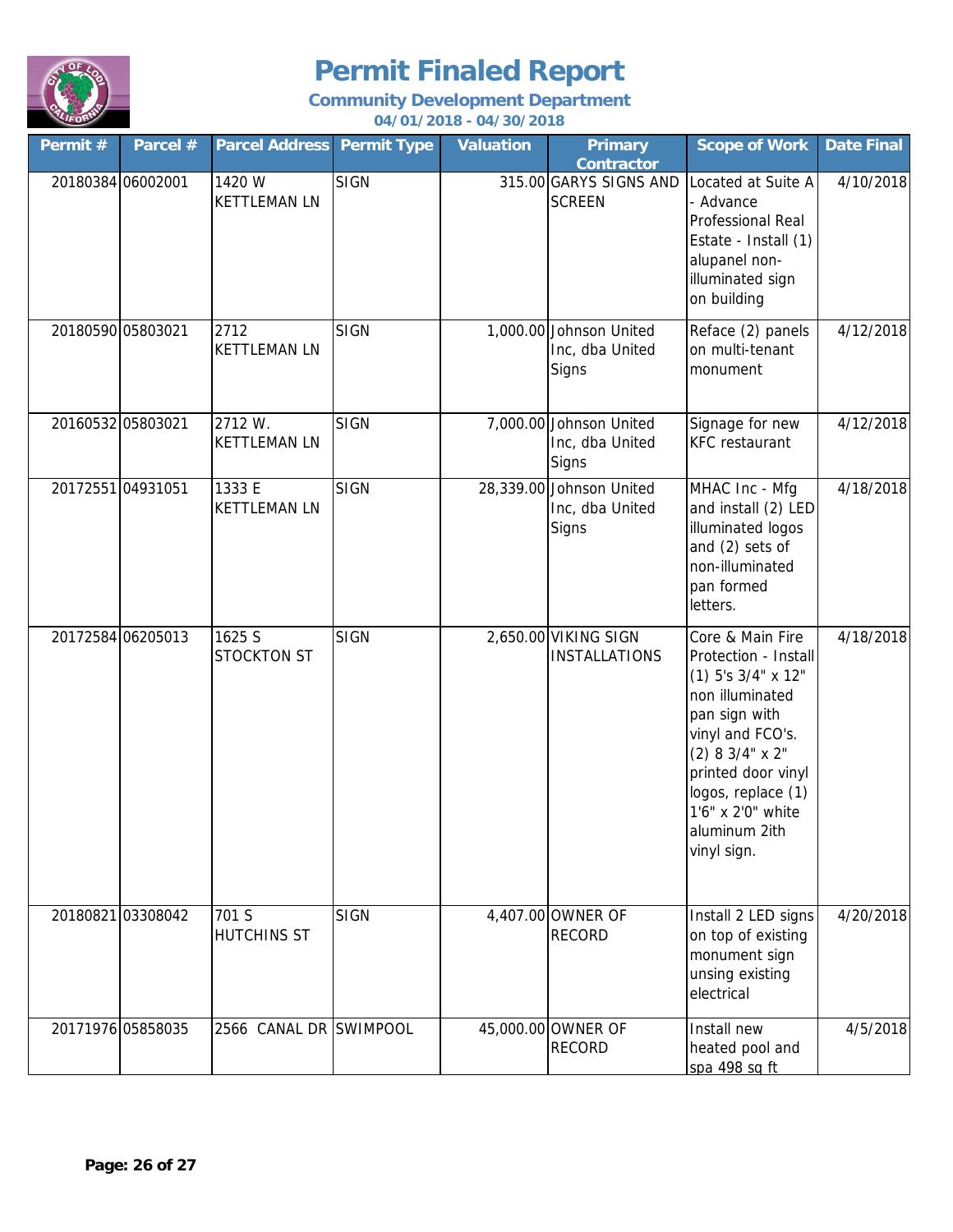

| Permit # | Parcel #          | <b>Parcel Address</b>          | <b>Permit Type</b> | <b>Valuation</b> | <b>Primary</b><br><b>Contractor</b>                  | <b>Scope of Work</b>                                                                                                                                                                                                                              | <b>Date Final</b> |
|----------|-------------------|--------------------------------|--------------------|------------------|------------------------------------------------------|---------------------------------------------------------------------------------------------------------------------------------------------------------------------------------------------------------------------------------------------------|-------------------|
|          | 20180384 06002001 | 1420 W<br><b>KETTLEMAN LN</b>  | <b>SIGN</b>        |                  | 315.00 GARYS SIGNS AND<br><b>SCREEN</b>              | Located at Suite A<br>- Advance<br>Professional Real<br>Estate - Install (1)<br>alupanel non-<br>illuminated sign<br>on building                                                                                                                  | 4/10/2018         |
|          | 20180590 05803021 | 2712<br><b>KETTLEMAN LN</b>    | <b>SIGN</b>        |                  | 1,000.00 Johnson United<br>Inc, dba United<br>Signs  | Reface (2) panels<br>on multi-tenant<br>monument                                                                                                                                                                                                  | 4/12/2018         |
|          | 20160532 05803021 | 2712 W.<br><b>KETTLEMAN LN</b> | <b>SIGN</b>        |                  | 7,000.00 Johnson United<br>Inc, dba United<br>Signs  | Signage for new<br><b>KFC</b> restaurant                                                                                                                                                                                                          | 4/12/2018         |
|          | 20172551 04931051 | 1333 E<br><b>KETTLEMAN LN</b>  | <b>SIGN</b>        |                  | 28,339.00 Johnson United<br>Inc, dba United<br>Signs | MHAC Inc - Mfg<br>and install (2) LED<br>illuminated logos<br>and (2) sets of<br>non-illuminated<br>pan formed<br>letters.                                                                                                                        | 4/18/2018         |
|          | 20172584 06205013 | 1625 S<br><b>STOCKTON ST</b>   | <b>SIGN</b>        |                  | 2,650.00 VIKING SIGN<br><b>INSTALLATIONS</b>         | Core & Main Fire<br>Protection - Install<br>$(1)$ 5's $3/4$ " x 12"<br>non illuminated<br>pan sign with<br>vinyl and FCO's.<br>$(2)$ 8 3/4" x 2"<br>printed door vinyl<br>logos, replace (1)<br>1'6" x 2'0" white<br>aluminum 2ith<br>vinyl sign. | 4/18/2018         |
|          | 20180821 03308042 | 701 S<br><b>HUTCHINS ST</b>    | <b>SIGN</b>        |                  | 4,407.00 OWNER OF<br><b>RECORD</b>                   | Install 2 LED signs<br>on top of existing<br>monument sign<br>unsing existing<br>electrical                                                                                                                                                       | 4/20/2018         |
|          | 20171976 05858035 | 2566 CANAL DR SWIMPOOL         |                    |                  | 45,000.00 OWNER OF<br><b>RECORD</b>                  | Install new<br>heated pool and<br>spa 498 sq ft                                                                                                                                                                                                   | 4/5/2018          |